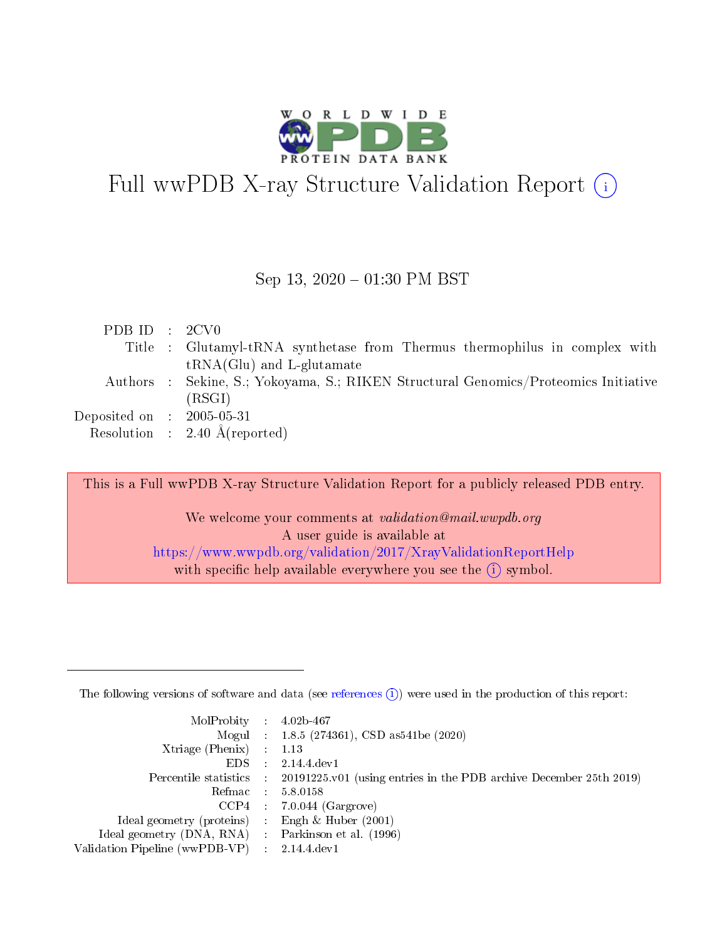

# Full wwPDB X-ray Structure Validation Report (i)

#### Sep 13,  $2020 - 01:30$  PM BST

| PDBID : 2CV0                |                                                                                     |
|-----------------------------|-------------------------------------------------------------------------------------|
|                             | Title : Glutamyl-tRNA synthetase from Thermus thermophilus in complex with          |
|                             | $tRNA(Glu)$ and L-glutamate                                                         |
|                             | Authors : Sekine, S.; Yokoyama, S.; RIKEN Structural Genomics/Proteomics Initiative |
|                             | (RSGI)                                                                              |
| Deposited on : $2005-05-31$ |                                                                                     |
|                             | Resolution : $2.40 \text{ Å}$ (reported)                                            |

This is a Full wwPDB X-ray Structure Validation Report for a publicly released PDB entry. We welcome your comments at validation@mail.wwpdb.org A user guide is available at

<https://www.wwpdb.org/validation/2017/XrayValidationReportHelp> with specific help available everywhere you see the  $(i)$  symbol.

The following versions of software and data (see [references](https://www.wwpdb.org/validation/2017/XrayValidationReportHelp#references)  $(1)$ ) were used in the production of this report:

| $MolProbability$ 4.02b-467                          |                                                                                            |
|-----------------------------------------------------|--------------------------------------------------------------------------------------------|
|                                                     | Mogul : $1.8.5$ (274361), CSD as 541be (2020)                                              |
| $Xtriangle (Phenix)$ : 1.13                         |                                                                                            |
| $EDS$ :                                             | 2.14.4 dev1                                                                                |
|                                                     | Percentile statistics : 20191225.v01 (using entries in the PDB archive December 25th 2019) |
| Refmac 58.0158                                      |                                                                                            |
|                                                     | $CCP4$ : 7.0.044 (Gargrove)                                                                |
| Ideal geometry (proteins) :                         | Engh & Huber $(2001)$                                                                      |
| Ideal geometry (DNA, RNA) : Parkinson et al. (1996) |                                                                                            |
| Validation Pipeline (wwPDB-VP) : 2.14.4.dev1        |                                                                                            |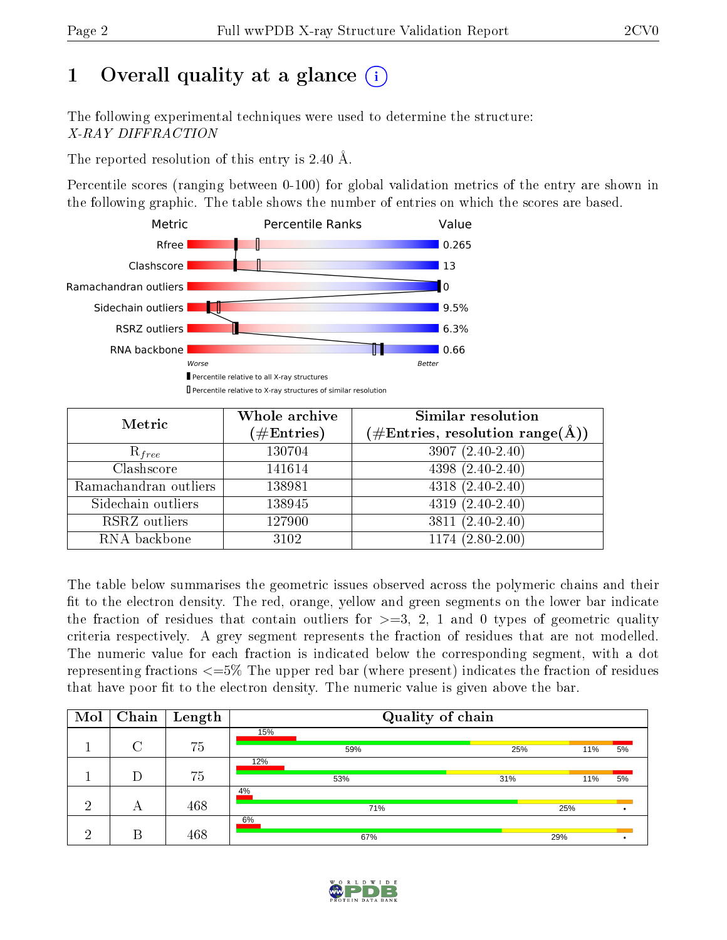# 1 [O](https://www.wwpdb.org/validation/2017/XrayValidationReportHelp#overall_quality)verall quality at a glance  $(i)$

The following experimental techniques were used to determine the structure: X-RAY DIFFRACTION

The reported resolution of this entry is 2.40 Å.

Percentile scores (ranging between 0-100) for global validation metrics of the entry are shown in the following graphic. The table shows the number of entries on which the scores are based.



| Metric                | Whole archive        | <b>Similar resolution</b>                                 |
|-----------------------|----------------------|-----------------------------------------------------------|
|                       | $(\#\text{Entries})$ | $(\#\text{Entries}, \text{resolution range}(\text{\AA}))$ |
| $R_{free}$            | 130704               | $3907(2.40-2.40)$                                         |
| Clashscore            | 141614               | $\overline{4398}$ $(2.40-2.40)$                           |
| Ramachandran outliers | 138981               | $\overline{4318 (2.40-2.40)}$                             |
| Sidechain outliers    | 138945               | $4319(2.40-2.40)$                                         |
| RSRZ outliers         | 127900               | $3811 (2.40 - 2.40)$                                      |
| RNA backbone          | 3102                 | $1174(2.80-2.00)$                                         |

The table below summarises the geometric issues observed across the polymeric chains and their fit to the electron density. The red, orange, yellow and green segments on the lower bar indicate the fraction of residues that contain outliers for  $>=3, 2, 1$  and 0 types of geometric quality criteria respectively. A grey segment represents the fraction of residues that are not modelled. The numeric value for each fraction is indicated below the corresponding segment, with a dot representing fractions  $\epsilon = 5\%$  The upper red bar (where present) indicates the fraction of residues that have poor fit to the electron density. The numeric value is given above the bar.

| Mol | Chain              | $\mathbf{Length}$ |     | Quality of chain |     |     |    |
|-----|--------------------|-------------------|-----|------------------|-----|-----|----|
|     |                    |                   | 15% |                  |     |     |    |
|     | $\curvearrowright$ | 75                |     | 59%              | 25% | 11% | 5% |
|     |                    |                   | 12% |                  |     |     |    |
|     | D                  | 75                |     | 53%              | 31% | 11% | 5% |
|     |                    |                   | 4%  |                  |     |     |    |
| റ   | А                  | 468               |     | 71%              |     | 25% |    |
|     |                    |                   | 6%  |                  |     |     |    |
| ച   | В                  | 468               |     | 67%              | 29% |     |    |

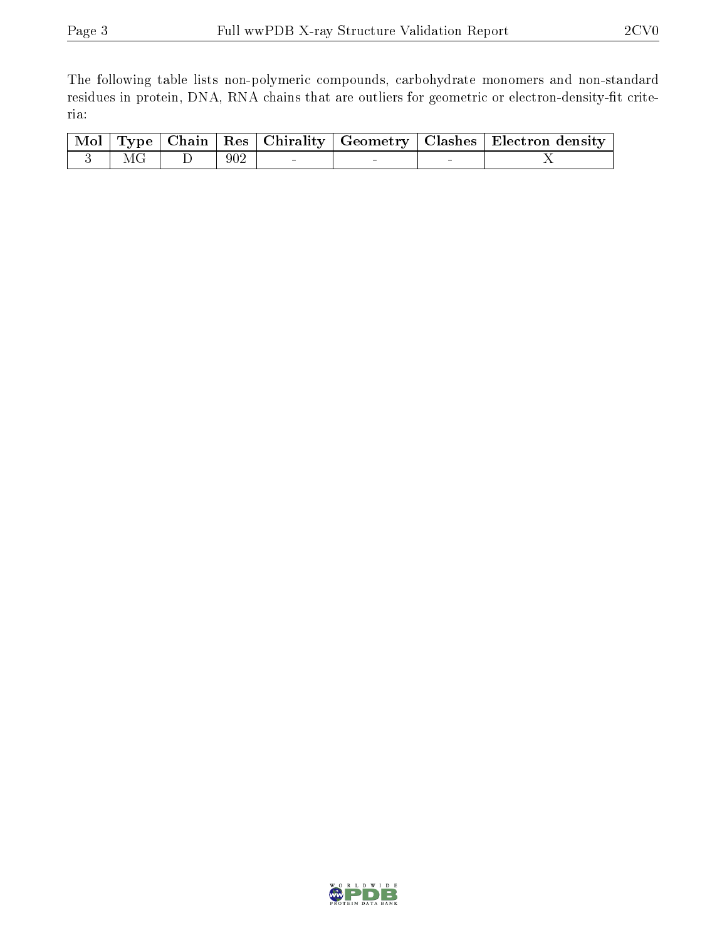The following table lists non-polymeric compounds, carbohydrate monomers and non-standard residues in protein, DNA, RNA chains that are outliers for geometric or electron-density-fit criteria:

|             |     |        |  | $\overline{\mid \text{Mol} \mid \text{Type} \mid \text{Chain} \mid \text{Res} \mid \text{Chirality} \mid \text{Geometry} \mid \text{Class} \mid \text{Electron density} \mid}$ |
|-------------|-----|--------|--|--------------------------------------------------------------------------------------------------------------------------------------------------------------------------------|
| $3 \mid MG$ | 902 | $\sim$ |  |                                                                                                                                                                                |

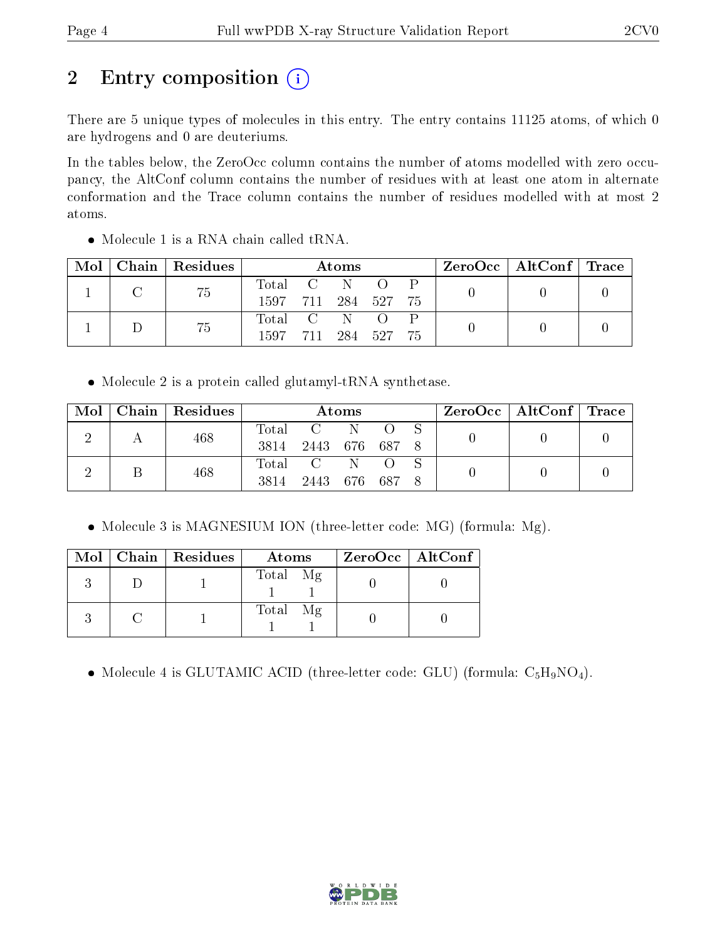# 2 Entry composition (i)

There are 5 unique types of molecules in this entry. The entry contains 11125 atoms, of which 0 are hydrogens and 0 are deuteriums.

In the tables below, the ZeroOcc column contains the number of atoms modelled with zero occupancy, the AltConf column contains the number of residues with at least one atom in alternate conformation and the Trace column contains the number of residues modelled with at most 2 atoms.

| Mol | Chain   Residues | Atoms               |  |  |            |     | ZeroOcc   AltConf   Trace |  |
|-----|------------------|---------------------|--|--|------------|-----|---------------------------|--|
|     |                  | Total C N           |  |  | $\bigcirc$ |     |                           |  |
|     | 75               | 1597 711 284 527 75 |  |  |            |     |                           |  |
|     | 75               | Total C N O         |  |  |            |     |                           |  |
|     |                  | 1597 711 284 527    |  |  |            | -75 |                           |  |

Molecule 1 is a RNA chain called tRNA.

• Molecule 2 is a protein called glutamyl-tRNA synthetase.

| $\text{Mol}$ | $\mid$ Chain $\mid$ Residues | <b>Atoms</b> |                |  |  | $\text{ZeroOcc} \mid \text{AltConf} \mid \text{Trace}$ |  |  |
|--------------|------------------------------|--------------|----------------|--|--|--------------------------------------------------------|--|--|
|              | 468                          |              | Total C N      |  |  |                                                        |  |  |
|              |                              | 3814         | 2443 676 687 8 |  |  |                                                        |  |  |
|              | 468                          | Total C N    |                |  |  |                                                        |  |  |
|              |                              | 3814         | 2443 676 687 8 |  |  |                                                        |  |  |

• Molecule 3 is MAGNESIUM ION (three-letter code: MG) (formula: Mg).

|  | $Mol$   Chain   Residues | Atoms    | $ZeroOcc$   AltConf |
|--|--------------------------|----------|---------------------|
|  |                          | Total Mg |                     |
|  |                          | Total Mg |                     |

• Molecule 4 is GLUTAMIC ACID (three-letter code: GLU) (formula:  $C_5H_9NO_4$ ).

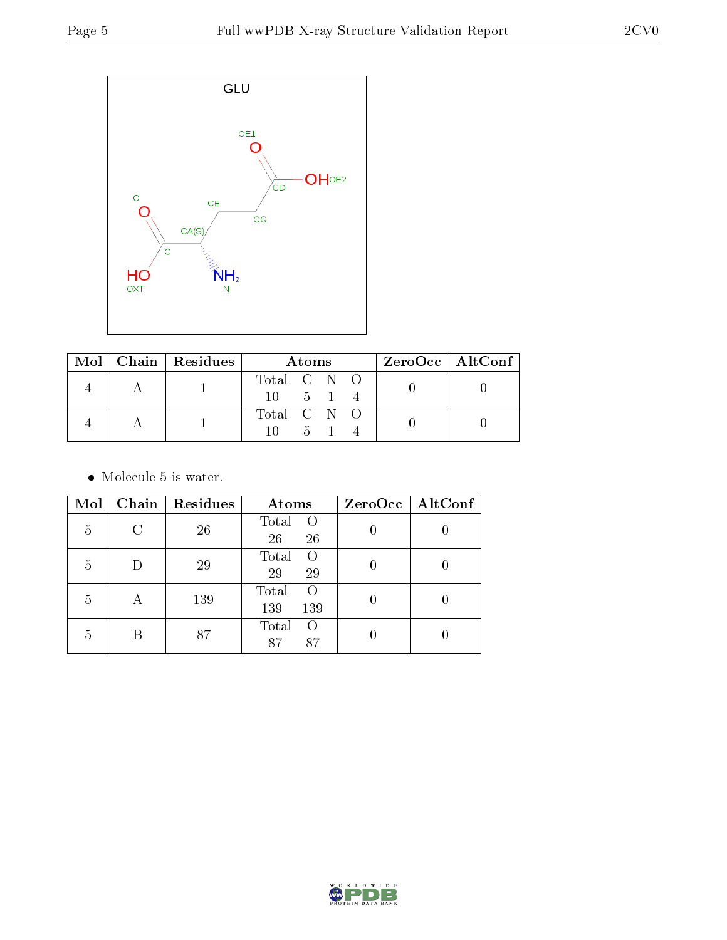

|  | $\text{Mol}$   Chain   Residues | Atoms          |  |       | $ZeroOcc \mid AltConf \mid$ |  |  |
|--|---------------------------------|----------------|--|-------|-----------------------------|--|--|
|  |                                 | Total C N O    |  |       |                             |  |  |
|  |                                 | $10 \t 5 \t 1$ |  |       |                             |  |  |
|  |                                 | Total C N O    |  |       |                             |  |  |
|  |                                 |                |  | $5-1$ |                             |  |  |

• Molecule 5 is water.

| Mol |                           | Chain   Residues | Atoms                           | $ZeroOcc$   AltConf |
|-----|---------------------------|------------------|---------------------------------|---------------------|
| 5   | C                         | 26               | Total<br>$\Omega$<br>26<br>26   |                     |
| 5   |                           | 29               | Total<br>$\Omega$<br>29<br>29   |                     |
| 5   | $\boldsymbol{\mathsf{A}}$ | 139              | Total<br>$\Omega$<br>139<br>139 |                     |
| 5   | В                         | 87               | Total<br>$\left($<br>87<br>87   |                     |

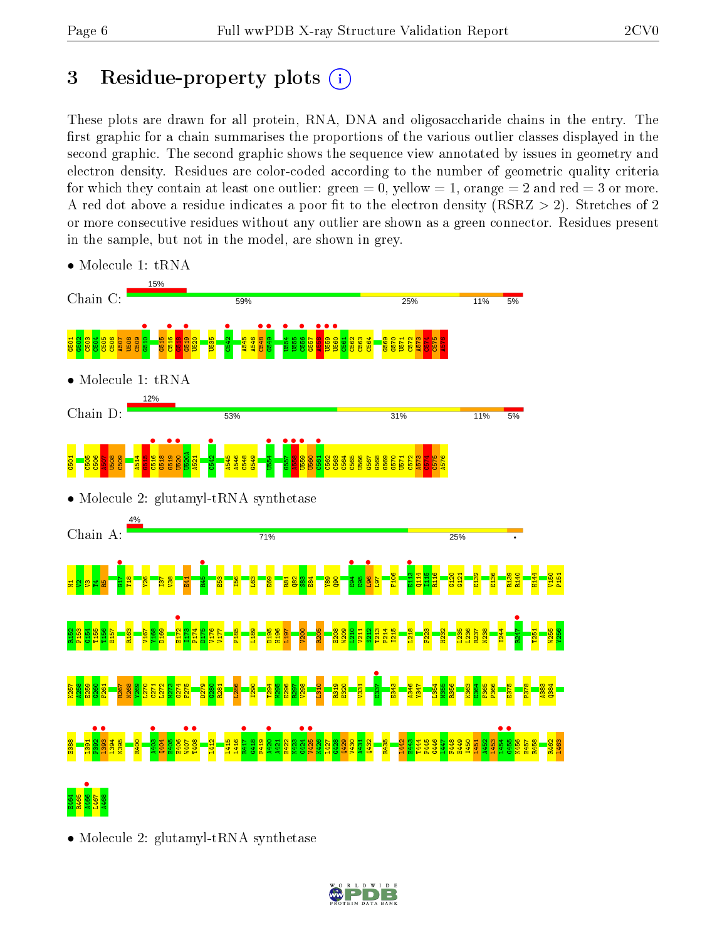# 3 Residue-property plots  $(i)$

These plots are drawn for all protein, RNA, DNA and oligosaccharide chains in the entry. The first graphic for a chain summarises the proportions of the various outlier classes displayed in the second graphic. The second graphic shows the sequence view annotated by issues in geometry and electron density. Residues are color-coded according to the number of geometric quality criteria for which they contain at least one outlier: green  $= 0$ , yellow  $= 1$ , orange  $= 2$  and red  $= 3$  or more. A red dot above a residue indicates a poor fit to the electron density ( $\text{RSRZ} > 2$ ). Stretches of 2 or more consecutive residues without any outlier are shown as a green connector. Residues present in the sample, but not in the model, are shown in grey.



• Molecule 1: tRNA

• Molecule 2: glutamyl-tRNA synthetase

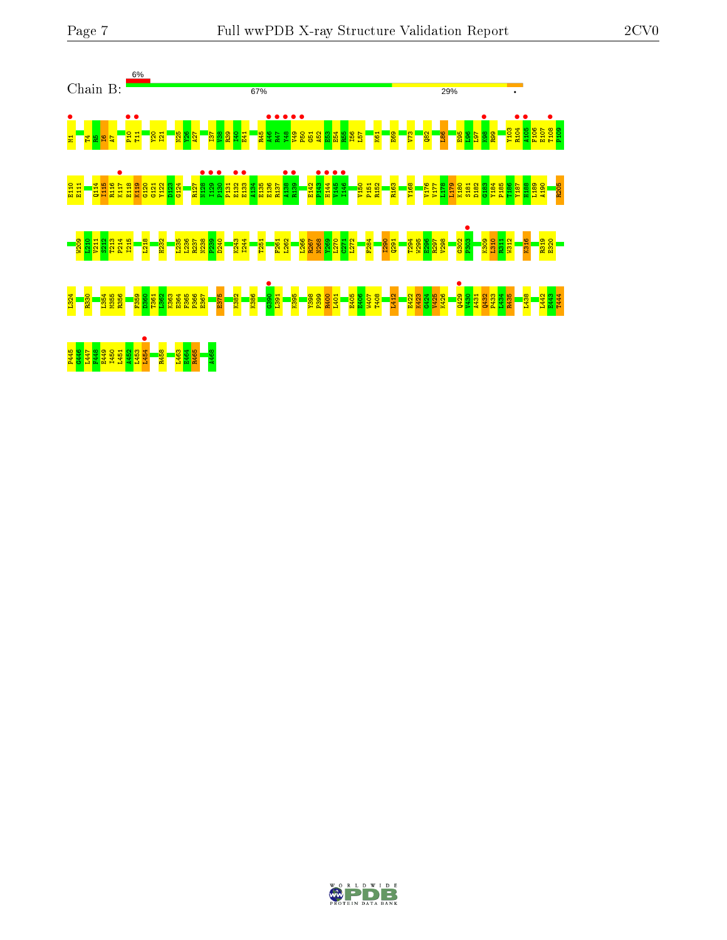

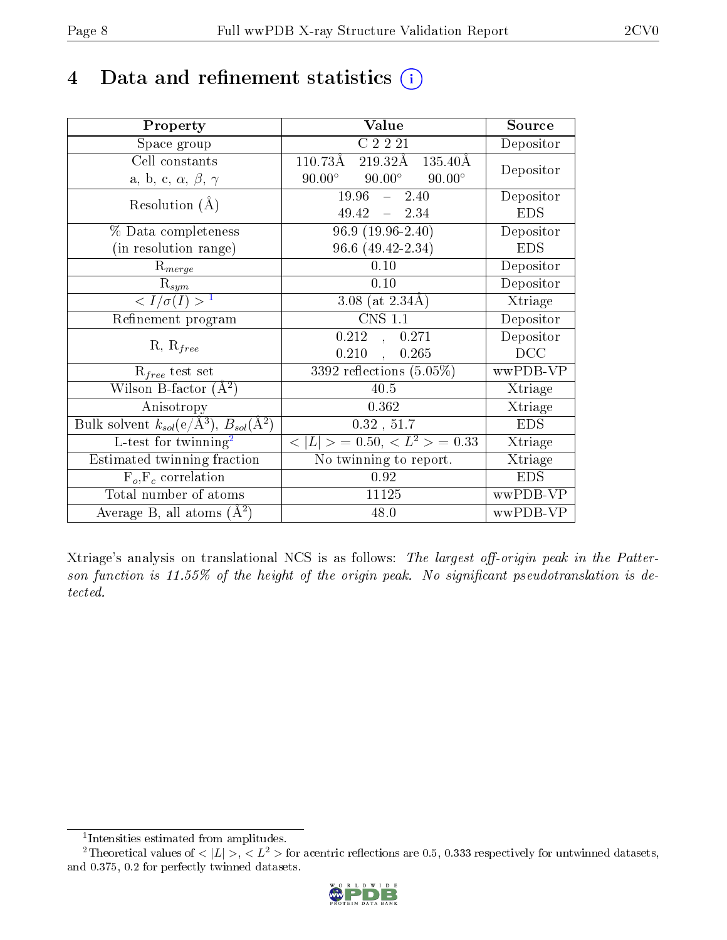## 4 Data and refinement statistics  $(i)$

| Property                                                                | Value                                           | Source     |
|-------------------------------------------------------------------------|-------------------------------------------------|------------|
| Space group                                                             | C2221                                           | Depositor  |
| Cell constants                                                          | 110.73Å<br>$219.32\text{\AA}$<br>135.40Å        | Depositor  |
| a, b, c, $\alpha$ , $\beta$ , $\gamma$                                  | $90.00^\circ$<br>$90.00^\circ$<br>$90.00^\circ$ |            |
| Resolution $(A)$                                                        | $19.96 - 2.40$                                  | Depositor  |
|                                                                         | $49.42 - 2.34$                                  | <b>EDS</b> |
| % Data completeness                                                     | $96.9(19.96-2.40)$                              | Depositor  |
| (in resolution range)                                                   | 96.6 (49.42-2.34)                               | <b>EDS</b> |
| $R_{merge}$                                                             | 0.10                                            | Depositor  |
| $\mathrm{R}_{sym}$                                                      | 0.10                                            | Depositor  |
| $\langle I/\sigma(I) \rangle^{-1}$                                      | 3.08 (at $2.34\text{\AA}$ )                     | Xtriage    |
| Refinement program                                                      | <b>CNS 1.1</b>                                  | Depositor  |
| $R, R_{free}$                                                           | 0.212<br>0.271<br>$\frac{1}{2}$                 | Depositor  |
|                                                                         | 0.210<br>0.265<br>$\overline{a}$ ,              | DCC        |
| $\mathcal{R}_{free}$ test set                                           | $3392$ reflections $(5.05\%)$                   | wwPDB-VP   |
| Wilson B-factor $(A^2)$                                                 | 40.5                                            | Xtriage    |
| Anisotropy                                                              | 0.362                                           | Xtriage    |
| Bulk solvent $k_{sol}(\mathrm{e}/\mathrm{A}^3),\,B_{sol}(\mathrm{A}^2)$ | 0.32, 51.7                                      | <b>EDS</b> |
| L-test for twinning <sup>2</sup>                                        | $< L >$ = 0.50, $< L^2 >$ = 0.33                | Xtriage    |
| Estimated twinning fraction                                             | $\overline{\text{No}}$ twinning to report.      | Xtriage    |
| $F_o, F_c$ correlation                                                  | 0.92                                            | <b>EDS</b> |
| Total number of atoms                                                   | 11125                                           | wwPDB-VP   |
| Average B, all atoms $(A^2)$                                            | 48.0                                            | wwPDB-VP   |

Xtriage's analysis on translational NCS is as follows: The largest off-origin peak in the Patterson function is  $11.55\%$  of the height of the origin peak. No significant pseudotranslation is detected.

<sup>&</sup>lt;sup>2</sup>Theoretical values of  $\langle |L| \rangle$ ,  $\langle L^2 \rangle$  for acentric reflections are 0.5, 0.333 respectively for untwinned datasets, and 0.375, 0.2 for perfectly twinned datasets.



<span id="page-7-1"></span><span id="page-7-0"></span><sup>1</sup> Intensities estimated from amplitudes.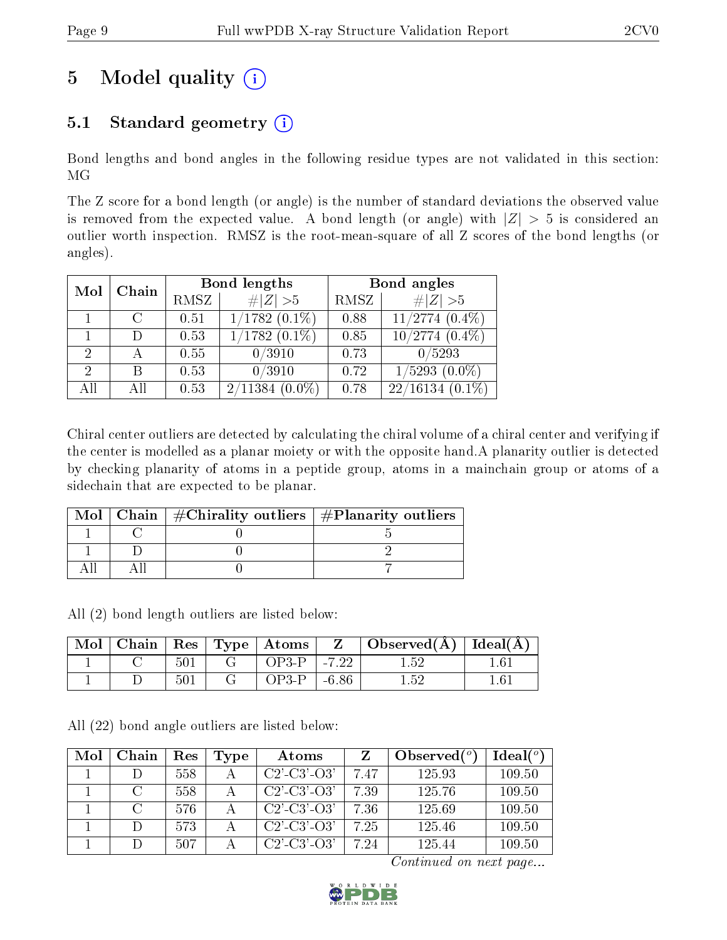# 5 Model quality  $(i)$

## 5.1 Standard geometry  $(i)$

Bond lengths and bond angles in the following residue types are not validated in this section: MG

The Z score for a bond length (or angle) is the number of standard deviations the observed value is removed from the expected value. A bond length (or angle) with  $|Z| > 5$  is considered an outlier worth inspection. RMSZ is the root-mean-square of all Z scores of the bond lengths (or angles).

|                |     |             | <b>Bond lengths</b>           | Bond angles |                     |  |
|----------------|-----|-------------|-------------------------------|-------------|---------------------|--|
| Chain<br>Mol   |     | <b>RMSZ</b> | # $ Z  > 5$                   | RMSZ        | # $ Z >5$           |  |
|                | C   | 0.51        | $1/1782$ $(0.\overline{1\%)}$ | 0.88        | $11/2774$ $(0.4\%)$ |  |
|                |     | 0.53        | $1/1782(0.1\%)$               | 0.85        | $10/2774(0.4\%)$    |  |
| $\mathcal{D}$  |     | 0.55        | 0/3910                        | 0.73        | 0/5293              |  |
| $\overline{2}$ | R   | 0.53        | 0/3910                        | 0.72        | $1/5293$ $(0.0\%)$  |  |
| All            | All | 0.53        | 2/11384<br>$(0.0\%)$          | 0.78        | $22/16134(0.1\%)$   |  |

Chiral center outliers are detected by calculating the chiral volume of a chiral center and verifying if the center is modelled as a planar moiety or with the opposite hand.A planarity outlier is detected by checking planarity of atoms in a peptide group, atoms in a mainchain group or atoms of a sidechain that are expected to be planar.

|  | Mol   Chain   $\#\text{Chirality outliers}$   $\#\text{Planarity outliers}$ |
|--|-----------------------------------------------------------------------------|
|  |                                                                             |
|  |                                                                             |
|  |                                                                             |

All (2) bond length outliers are listed below:

| Mol |     | $\blacksquare$ Chain $\parallel$ Res $\parallel$ Type $\parallel$ Atoms $\perp$ | Z       | $\Box$ Observed( $\AA$ ) $\Box$ Ideal( $\AA$ ) |  |
|-----|-----|---------------------------------------------------------------------------------|---------|------------------------------------------------|--|
|     | 501 | $OP3-P$                                                                         | $-7.22$ |                                                |  |
|     | 501 | OP3-P                                                                           | -6.86   |                                                |  |

All (22) bond angle outliers are listed below:

| Mol | Chain         | Res | Type | Atoms                 |      | Observed $(^\circ)$ | Ideal(°) |
|-----|---------------|-----|------|-----------------------|------|---------------------|----------|
|     |               | 558 |      | $C2'$ - $C3'$ - $O3'$ | 7.47 | 125.93              | 109.50   |
|     | $\mathcal{C}$ | 558 |      | $C2'$ - $C3'$ - $O3'$ | 7.39 | 125.76              | 109.50   |
|     |               | 576 |      | $C2'$ - $C3'$ - $O3'$ | 7.36 | 125.69              | 109.50   |
|     |               | 573 |      | $C2'$ - $C3'$ - $O3'$ | 7.25 | 125.46              | 109.50   |
|     |               | 507 |      | $C2'$ -C3'-O3'        | 7 94 | 125.44              | 109.50   |

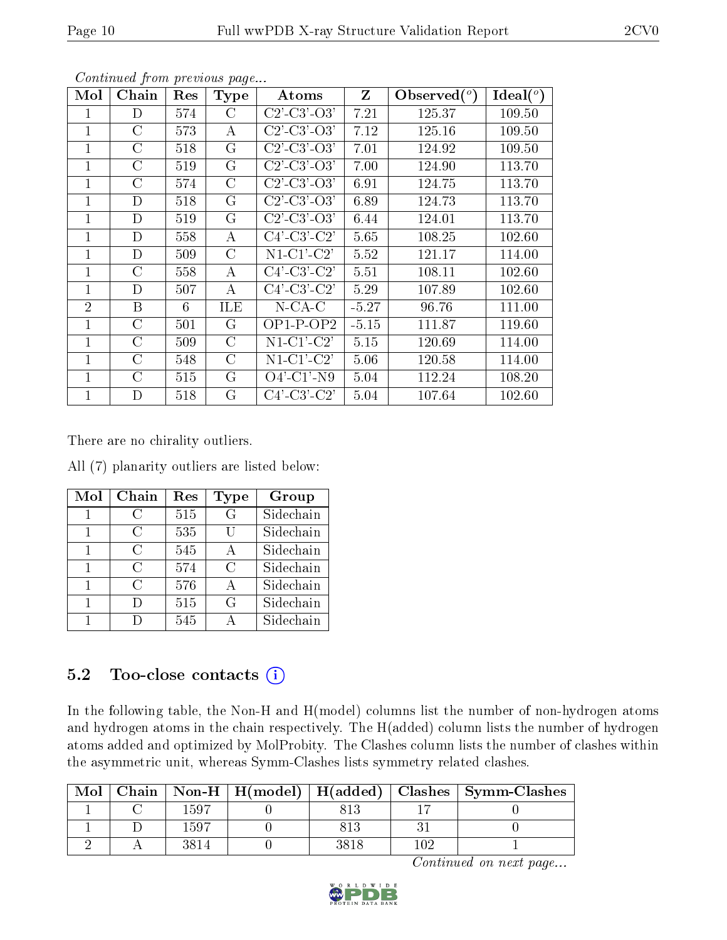| Mol            | Chain          | Res | <b>Type</b> | Atoms                                                 | Z       | $\text{Observed}(^o)$ | Ideal $(^\circ)$ |
|----------------|----------------|-----|-------------|-------------------------------------------------------|---------|-----------------------|------------------|
| 1              | D              | 574 | C           | $C2'$ - $C3'$ - $O3'$                                 | 7.21    | 125.37                | 109.50           |
| 1              | $\rm C$        | 573 | A           | $C2'$ - $C3'$ - $O3'$                                 | 7.12    | 125.16                | 109.50           |
| 1              | $\rm C$        | 518 | G           | $C2'$ - $C3'$ - $O3'$                                 | 7.01    | 124.92                | 109.50           |
| 1              | $\rm C$        | 519 | G           | $C2$ <sup>-</sup> $C3$ <sup>-</sup> $O3$ <sup>'</sup> | 7.00    | 124.90                | 113.70           |
| $\mathbf{1}$   | $\mathcal{C}$  | 574 | $\rm C$     | $C2'$ - $C3'$ - $O3'$                                 | 6.91    | 124.75                | 113.70           |
| $\mathbf{1}$   | D              | 518 | G           | $C2'$ - $C3'$ - $O3'$                                 | 6.89    | 124.73                | 113.70           |
| $\mathbf{1}$   | D              | 519 | G           | $C2'$ - $C3'$ - $O3'$                                 | 6.44    | 124.01                | 113.70           |
| 1              | D              | 558 | A           | $C4'-C3'-C2'$                                         | 5.65    | 108.25                | 102.60           |
| $\mathbf{1}$   | D              | 509 | $\rm C$     | $N1-C1'-C2'$                                          | 5.52    | 121.17                | 114.00           |
| 1              | $\rm C$        | 558 | A           | $C4'-C3'-C2'$                                         | 5.51    | 108.11                | 102.60           |
| 1              | $\mathbf D$    | 507 | A           | $C4'$ -C3'-C2'                                        | 5.29    | 107.89                | 102.60           |
| $\overline{2}$ | B              | 6   | ILE         | $N$ -CA-C                                             | $-5.27$ | 96.76                 | 111.00           |
| $\mathbf{1}$   | $\rm C$        | 501 | G           | $OP1-POP2$                                            | $-5.15$ | 111.87                | 119.60           |
| $\mathbf{1}$   | $\overline{C}$ | 509 | $\rm C$     | $N1-C1'$ - $C2'$                                      | 5.15    | 120.69                | 114.00           |
| $\mathbf{1}$   | $\rm C$        | 548 | $\rm C$     | $N1-C1'$ - $C2'$                                      | 5.06    | 120.58                | 114.00           |
| $\mathbf{1}$   | $\rm C$        | 515 | G           | $O4'$ -C1'-N9                                         | 5.04    | 112.24                | 108.20           |
| $\mathbf{1}$   | D              | 518 | G           | $C4'-C3'-C2'$                                         | 5.04    | 107.64                | 102.60           |

There are no chirality outliers.

All (7) planarity outliers are listed below:

| Mol | Chain  | $\operatorname{Res}% \left( \mathcal{N}\right) \equiv\operatorname{Res}(\mathcal{N}_{0},\mathcal{N}_{0})$ | <b>Type</b>   | Group     |
|-----|--------|-----------------------------------------------------------------------------------------------------------|---------------|-----------|
| 1   | С      | 515                                                                                                       | G             | Sidechain |
| 1   | C      | 535                                                                                                       | Ħ             | Sidechain |
| 1   | C      | 545                                                                                                       | А             | Sidechain |
| 1   | C      | 574                                                                                                       | $\mathcal{C}$ | Sidechain |
| 1   | ( )    | 576                                                                                                       | A             | Sidechain |
| 1   | $\Box$ | 515                                                                                                       | G             | Sidechain |
|     |        | 545                                                                                                       |               | Sidechain |

#### 5.2 Too-close contacts  $(i)$

In the following table, the Non-H and H(model) columns list the number of non-hydrogen atoms and hydrogen atoms in the chain respectively. The H(added) column lists the number of hydrogen atoms added and optimized by MolProbity. The Clashes column lists the number of clashes within the asymmetric unit, whereas Symm-Clashes lists symmetry related clashes.

| Mol |      |      |     | Chain   Non-H   H(model)   H(added)   Clashes   Symm-Clashes |
|-----|------|------|-----|--------------------------------------------------------------|
|     | 1597 |      |     |                                                              |
|     | 1597 |      |     |                                                              |
|     |      | 3818 | າ∩໑ |                                                              |

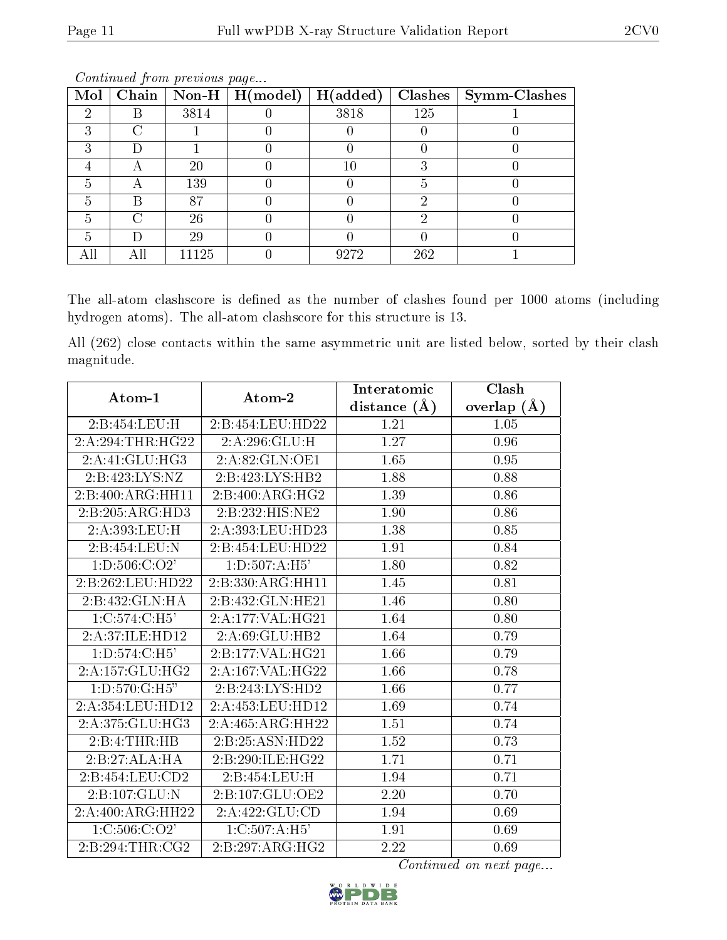| Mol | Chain | Non-H $\vert$ | $\mid$ H(model) | H(added) | Clashes | Symm-Clashes |
|-----|-------|---------------|-----------------|----------|---------|--------------|
| ച   | В     | 3814          |                 | 3818     | 125     |              |
|     |       |               |                 |          |         |              |
|     |       |               |                 |          |         |              |
|     |       | 20            |                 | 10       |         |              |
|     |       | 139           |                 |          |         |              |
| h   | В     | 87            |                 |          | 6)      |              |
|     | ∩     | 26            |                 |          | 6)      |              |
|     |       | 29            |                 |          |         |              |
|     |       | 11125         |                 | 9272     | 262     |              |

The all-atom clashscore is defined as the number of clashes found per 1000 atoms (including hydrogen atoms). The all-atom clashscore for this structure is 13.

All (262) close contacts within the same asymmetric unit are listed below, sorted by their clash magnitude.

| Atom-1            | Atom-2           | Interatomic    | Clash         |
|-------------------|------------------|----------------|---------------|
|                   |                  | distance $(A)$ | overlap $(A)$ |
| 2:B:454:LEU:H     | 2:B:454:LEU:HD22 | 1.21           | 1.05          |
| 2:A:294:THR:HG22  | 2:A:296:GLU:H    | 1.27           | 0.96          |
| 2:A:41:GLU:HG3    | 2:A:82:GLN:OE1   | 1.65           | 0.95          |
| 2:B:423:LYS:NZ    | 2:B:423:LYS:HB2  | 1.88           | 0.88          |
| 2:B:400:ARG:HH11  | 2:B:400:ARG:HG2  | 1.39           | 0.86          |
| 2:B:205:ARG:HD3   | 2:B:232:HIS:NE2  | 1.90           | 0.86          |
| 2:A:393:LEU:H     | 2:A:393:LEU:HD23 | 1.38           | 0.85          |
| 2:B:454:LEU:N     | 2:B:454:LEU:HD22 | 1.91           | 0.84          |
| 1: D: 506: C: O2' | 1: D: 507: A:H5' | 1.80           | 0.82          |
| 2:B:262:LEU:HD22  | 2:B:330:ARG:HH11 | 1.45           | 0.81          |
| 2:B:432:GLN:HA    | 2:B:432:GLN:HE21 | 1.46           | 0.80          |
| 1:C:574:C:H5'     | 2:A:177:VAL:HG21 | 1.64           | 0.80          |
| 2:A:37:ILE:HD12   | 2:A:69:GLU:HB2   | 1.64           | 0.79          |
| 1: D: 574: C: H5' | 2:B:177:VAL:HG21 | 1.66           | 0.79          |
| 2:A:157:GLU:HG2   | 2:A:167:VAL:HG22 | 1.66           | 0.78          |
| 1: D: 570: G:H5"  | 2:B:243:LYS:HD2  | 1.66           | 0.77          |
| 2:A:354:LEU:HD12  | 2:A:453:LEU:HD12 | 1.69           | 0.74          |
| 2:A:375:GLU:HG3   | 2:A:465:ARG:HH22 | 1.51           | 0.74          |
| 2:B:4:THR:H       | 2:B:25:ASN:HD22  | 1.52           | 0.73          |
| 2:B:27:ALA:HA     | 2:B:290:ILE:HG22 | 1.71           | 0.71          |
| 2:B:454:LEU:CD2   | 2:B:454:LEU:H    | 1.94           | 0.71          |
| 2:B:107:GLU:N     | 2:B:107:GLU:OE2  | 2.20           | 0.70          |
| 2:A:400:ARG:HH22  | 2:A:422:GLU:CD   | 1.94           | 0.69          |
| 1:C:506:C:O2'     | 1: C: 507: A:H5' | 1.91           | 0.69          |
| 2:B:294:THR:CG2   | 2:B:297:ARG:HG2  | 2.22           | 0.69          |

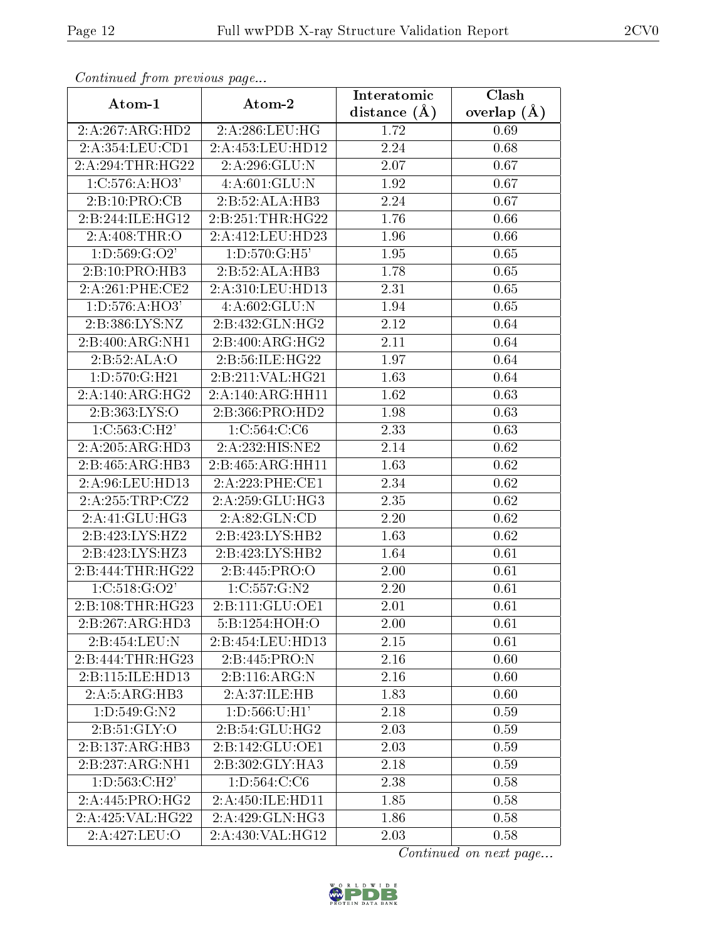| Comunaca jiom previous page |                               | Interatomic    | Clash         |
|-----------------------------|-------------------------------|----------------|---------------|
| Atom-1                      | Atom-2                        | distance $(A)$ | overlap $(A)$ |
| 2:A:267:ARG:HD2             | 2:A:286:LEU:HG                | 1.72           | 0.69          |
| 2:A:354:LEU:CD1             | 2:A:453:LEU:HD12              | 2.24           | 0.68          |
| 2:A:294:THR:HG22            | 2:A:296:GLU:N                 | 2.07           | 0.67          |
| 1: C: 576: A: HO3'          | 4:A:601:GLU:N                 | 1.92           | 0.67          |
| 2: B: 10: PRO: CB           | 2:B:52:ALA:HB3                | 2.24           | 0.67          |
| 2:B:244:ILE:HG12            | 2:B:251:THR:HG22              | 1.76           | 0.66          |
| 2:A:408:THR:O               | 2:A:412:LEU:HD23              | 1.96           | 0.66          |
| 1: D: 569: G: O2'           | 1: D: 570: G:H5'              | 1.95           | 0.65          |
| 2:B:10:PRO:HB3              | 2:B:52:ALA:HB3                | 1.78           | 0.65          |
| 2:A:261:PHE:CE2             | 2:A:310:LEU:HD13              | 2.31           | 0.65          |
| 1:D:576:A:HO3'              | 4:A:602:GLU:N                 | 1.94           | 0.65          |
| 2:B:386:LYS:NZ              | 2:B:432:GLN:HG2               | 2.12           | 0.64          |
| 2:B:400:ARG:NH1             | 2:B:400:ARG:HG2               | 2.11           | 0.64          |
| 2:B:52:ALA:O                | 2:B:56:ILE:HG22               | 1.97           | 0.64          |
| 1:D:570:G:H21               | 2:B:211:VAL:HG21              | 1.63           | 0.64          |
| 2:A:140:ARG:HG2             | 2:A:140:ARG:HH11              | 1.62           | 0.63          |
| 2:B:363:LYS:O               | 2:B:366:PRO:HD2               | 1.98           | 0.63          |
| 1: C: 563: C: H2'           | 1:C:564:C:C6                  | 2.33           | 0.63          |
| 2:A:205:ARG:HD3             | 2:A:232:HIS:NE2               | 2.14           | 0.62          |
| 2:B:465:ARG:HB3             | $2:B:465:ARG:H\overline{H11}$ | 1.63           | 0.62          |
| 2:A:96:LEU:HD13             | 2:A:223:PHE:CE1               | 2.34           | 0.62          |
| 2:A:255:TRP:CZ2             | 2:A:259:GLU:HG3               | 2.35           | 0.62          |
| 2:A:41:GLU:HG3              | 2:A:82:GLN:CD                 | 2.20           | 0.62          |
| 2:B:423:LYS:HZ2             | 2:B:423:LYS:HB2               | 1.63           | 0.62          |
| 2:B:423:LYS:HZ3             | 2:B:423:LYS:HB2               | 1.64           | 0.61          |
| 2:B:444:THR:HG22            | 2:B:445:PRO:O                 | 2.00           | 0.61          |
| 1:C:518:G:O2'               | 1:C:557:G:N2                  | 2.20           | 0.61          |
| 2:B:108:THR:HG23            | 2:B:111:GLU:OE1               | 2.01           | 0.61          |
| 2:B:267:ARG:HD3             | 5:B:1254:HOH:O                | 2.00           | 0.61          |
| 2:B:454:LEU:N               | 2:B:454:LEU:HD13              | 2.15           | 0.61          |
| 2:B:444:THR:HG23            | 2:B:445:PRO:N                 | 2.16           | 0.60          |
| 2:B:115:ILE:HD13            | 2:B:116:ARG:N                 | 2.16           | 0.60          |
| 2:A:5:ARG:HB3               | 2:A:37:ILE:HB                 | 1.83           | 0.60          |
| 1:D:549:G:N2                | 1: D: 566: U:H1'              | 2.18           | 0.59          |
| 2:B:51:GLY:O                | 2:B:54:GLU:HG2                | 2.03           | 0.59          |
| 2:B:137:ARG:HB3             | 2:B:142:GLU:OE1               | 2.03           | 0.59          |
| 2:B:237:ARG:NH1             | 2:B:302:GLY:HA3               | 2.18           | 0.59          |
| 1: D: 563: C:H2'            | 1: D: 564: C: C6              | 2.38           | 0.58          |
| 2: A:445: PRO:HG2           | 2:A:450:ILE:HD11              | 1.85           | 0.58          |
| 2:A:425:VAL:HG22            | 2:A:429:GLN:HG3               | 1.86           | 0.58          |
| 2:A:427:LEU:O               | 2:A:430:VAL:HG12              | 2.03           | 0.58          |

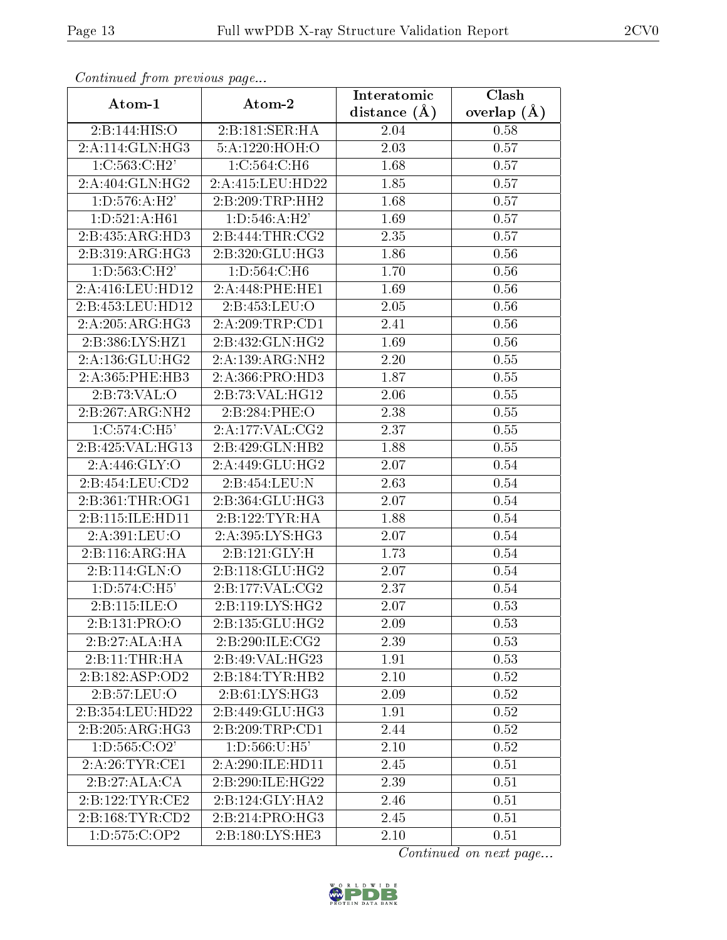| Continued from previous page         |                   | Interatomic       | $\overline{\text{Clash}}$ |
|--------------------------------------|-------------------|-------------------|---------------------------|
| Atom-1                               | Atom-2            | distance $(A)$    | overlap $(\AA)$           |
| 2:B:144:HIS:O                        | 2:B:181:SER:HA    | 2.04              | 0.58                      |
| 2:A:114:GLN:HG3                      | 5:A:1220:HOH:O    | 2.03              | 0.57                      |
| 1: C: 563: C: H2'                    | 1: C: 564: C: H6  | 1.68              | 0.57                      |
| 2:A:404:GLN:HG2                      | 2:A:415:LEU:HD22  | 1.85              | 0.57                      |
| 1: D: 576: A:H2'                     | 2:B:209:TRP:HH2   | 1.68              | 0.57                      |
| 1:D:521:A:H61                        | 1: D: 546: A:H2'  | 1.69              | 0.57                      |
| 2:B:435:ARG:HD3                      | 2:B:444:THR:CG2   | 2.35              | 0.57                      |
| 2:B:319:ARG:HG3                      | 2:B:320:GLU:HG3   | 1.86              | 0.56                      |
| 1:D:563:C:H2'                        | 1:D:564:C:H6      | $\overline{1}.70$ | 0.56                      |
| 2:A:416:LEU:HD12                     | 2:A:448:PHE:HE1   | 1.69              | 0.56                      |
| 2:B:453:LEU:HD12                     | 2:B:453:LEU:O     | 2.05              | 0.56                      |
| 2:A:205:ARG:HG3                      | 2:A:209:TRP:CD1   | 2.41              | 0.56                      |
| 2:B:386:LYS:HZ1                      | 2:B:432:GLN:HG2   | 1.69              | 0.56                      |
| 2:A:136:GLU:HG2                      | 2:A:139:ARG:NH2   | 2.20              | 0.55                      |
| 2:A:365:PHE:HB3                      | 2:A:366:PRO:HD3   | 1.87              | 0.55                      |
| 2:B:73:VAL:O                         | 2:B:73:VAL:HG12   | 2.06              | 0.55                      |
| 2:B:267:ARG:NH2                      | 2:B:284:PHE:O     | 2.38              | 0.55                      |
| 1:C:574:C:H5'                        | 2:A:177:VAL:CG2   | 2.37              | $0.55\,$                  |
| $2:B:425:\overline{\text{VAL}:HG13}$ | 2:B:429:GLN:HB2   | 1.88              | 0.55                      |
| 2: A:446: GLY:O                      | 2:A:449:GLU:HG2   | 2.07              | 0.54                      |
| 2:B:454:LEU:CD2                      | 2:B:454:LEU:N     | 2.63              | 0.54                      |
| 2:B:361:THR:OG1                      | 2:B:364:GLU:HG3   | 2.07              | 0.54                      |
| 2:B:115:ILE:HD11                     | 2:B:122:TYR:HA    | 1.88              | 0.54                      |
| 2:A:391:LEU:O                        | 2:A:395:LYS:HG3   | 2.07              | 0.54                      |
| 2:B:116:ARG:HA                       | 2:B:121:GLY:H     | 1.73              | 0.54                      |
| 2:B:114:GLN:O                        | 2:B:118:GLU:HG2   | 2.07              | 0.54                      |
| 1: D: 574: C:H5'                     | 2:B:177:VAL:CG2   | 2.37              | 0.54                      |
| 2:B:115:ILE:O                        | 2:B:119:LYS:HG2   | 2.07              | 0.53                      |
| 2:B:131:PRO:O                        | 2:B:135:GLU:HG2   | 2.09              | 0.53                      |
| 2:B:27:ALA:HA                        | 2:B:290:ILE:CG2   | 2.39              | 0.53                      |
| 2:B:11:THR:H                         | 2:B:49:VAL:HG23   | 1.91              | 0.53                      |
| 2:B:182:ASP:OD2                      | 2:B:184:TYR:HB2   | 2.10              | 0.52                      |
| 2:B:57:LEU:O                         | 2:B:61:LYS:HG3    | 2.09              | 0.52                      |
| 2:B:354:LEU:HD22                     | 2:B:449:GLU:HG3   | 1.91              | 0.52                      |
| 2:B:205:ARG:HG3                      | 2:B:209:TRP:CD1   | 2.44              | 0.52                      |
| 1: D: 565: C: O2'                    | 1: D: 566: U: H5' | 2.10              | 0.52                      |
| 2:A:26:TYR:CE1                       | 2:A:290:ILE:HD11  | 2.45              | 0.51                      |
| 2:B:27:ALA:CA                        | 2:B:290:ILE:HG22  | 2.39              | 0.51                      |
| 2: B: 122: TYR: CE2                  | 2:B:124:GLY:HA2   | 2.46              | 0.51                      |
| 2: B: 168: TYR: CD2                  | 2:B:214:PRO:HG3   | 2.45              | 0.51                      |
| 1:D:575:C:OP2                        | 2:B:180:LYS:HE3   | 2.10              | 0.51                      |

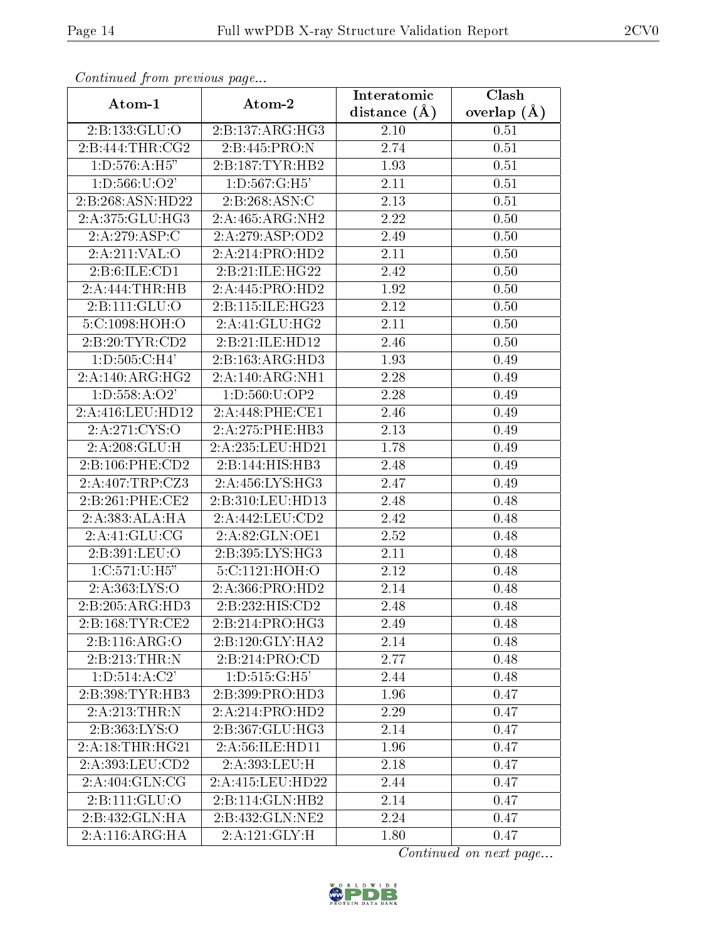| Continuea from previous page |                                   | Interatomic       | Clash         |
|------------------------------|-----------------------------------|-------------------|---------------|
| Atom-1                       | Atom-2                            | distance $(A)$    | overlap $(A)$ |
| 2:B:133:GLU:O                | 2:B:137:ARG:HG3                   | 2.10              | 0.51          |
| 2:B:444:THR:CG2              | 2:B:445:PRO:N                     | 2.74              | 0.51          |
| 1: D: 576: A: H5"            | 2:B:187:TYR:HB2                   | 1.93              | 0.51          |
| 1: D: 566: U: O2'            | 1:D:567:G:H5'                     | 2.11              | 0.51          |
| 2:B:268:ASN:HD22             | 2:B:268:ASN:C                     | 2.13              | 0.51          |
| 2:A:375:GLU:HG3              | 2:A:465:ARG:NH2                   | 2.22              | 0.50          |
| 2:A:279:ASP:C                | 2:A:279:ASP:OD2                   | 2.49              | 0.50          |
| 2:A:211:VAL:O                | 2:A:214:PRO:HD2                   | 2.11              | 0.50          |
| 2: B:6: ILE: CD1             | 2:B:21:ILE:HG22                   | 2.42              | 0.50          |
| 2:A:444:THR:HB               | 2:A:445:PRO:HD2                   | 1.92              | 0.50          |
| 2:B:111:GLU:O                | 2:B:115:ILE:HG23                  | 2.12              | 0.50          |
| 5:C:1098:HOH:O               | 2:A:41:GLU:HG2                    | 2.11              | 0.50          |
| 2:B:20:TYR:CD2               | 2:B:21:ILE:HD12                   | 2.46              | 0.50          |
| 1: D: 505: C:H4'             | 2:B:163:ARG:HD3                   | 1.93              | 0.49          |
| 2:A:140:ARG:HG2              | 2:A:140:ARG:NH1                   | 2.28              | 0.49          |
| 1: D: 558: A: O2'            | 1: D: 560: U: OP2                 | 2.28              | 0.49          |
| 2:A:416:LEU:HD12             | 2:A:448:PHE:CE1                   | 2.46              | 0.49          |
| 2:A:271:CYS:O                | 2:A:275:PHE:HB3                   | 2.13              | 0.49          |
| 2:A:208:GLU:H                | 2:A:235:LEU:HD21                  | 1.78              | 0.49          |
| 2:B:106:PHE:CD2              | 2:B:144:HIS:HB3                   | 2.48              | 0.49          |
| 2:A:407:TRP:CZ3              | 2:A:456:LYS:HG3                   | 2.47              | 0.49          |
| 2:B:261:PHE:CE2              | 2:B:310:LEU:HD13                  | 2.48              | 0.48          |
| 2:A:383:ALA:HA               | 2:A:442:LEU:CD2                   | 2.42              | 0.48          |
| 2:A:41:GLU:CG                | 2:A:82:GLN:OE1                    | 2.52              | 0.48          |
| 2:B:391:LEU:O                | 2:B:395:LYS:HG3                   | 2.11              | 0.48          |
| 1:C:571:U:H5"                | 5:C:1121:HOH:O                    | $\overline{2}.12$ | 0.48          |
| 2:A:363:LYS:O                | 2:A:366:PRO:HD2                   | 2.14              | 0.48          |
| 2:B:205:ARG:HD3              | 2:B:232:HIS:CD2                   | 2.48              | 0.48          |
| 2:B:168:TYR:CE2              | 2:B:214:PRO:HG3                   | 2.49              | 0.48          |
| 2:B:116:ARG:O                | 2:B:120:GLY:HA2                   | 2.14              | 0.48          |
| 2:B:213:THR:N                | 2:B:214:PRO:CD                    | 2.77              | 0.48          |
| 1: D: 514: A: C2'            | 1: D: 515: G:H5'                  | 2.44              | 0.48          |
| 2:B:398:TYR:HB3              | 2:B:399:PRO:HD3                   | 1.96              | 0.47          |
| 2:A:213:THR:N                | 2:A:214:PRO:HD2                   | 2.29              | 0.47          |
| 2:B:363:LYS:O                | 2:B:367:GLU:HG3                   | 2.14              | 0.47          |
| 2:A:18:THR:HG21              | 2:A:56:ILE:HD11                   | 1.96              | 0.47          |
| 2:A:393:LEU:CD2              | 2:A:393:LEU:H                     | 2.18              | 0.47          |
| 2:A:404:GLN:CG               | 2:A:415:LEU:HD22                  | 2.44              | 0.47          |
| 2:Bi:11:GLU:O                | 2:B:114:GLN:HB2                   | 2.14              | 0.47          |
| 2:B:432:GLN:HA               | 2:B:432:GLN:NE2                   | 2.24              | 0.47          |
| 2:A:116:ARG:HA               | $2:A:121:\overline{\text{GLY:H}}$ | 1.80              | 0.47          |

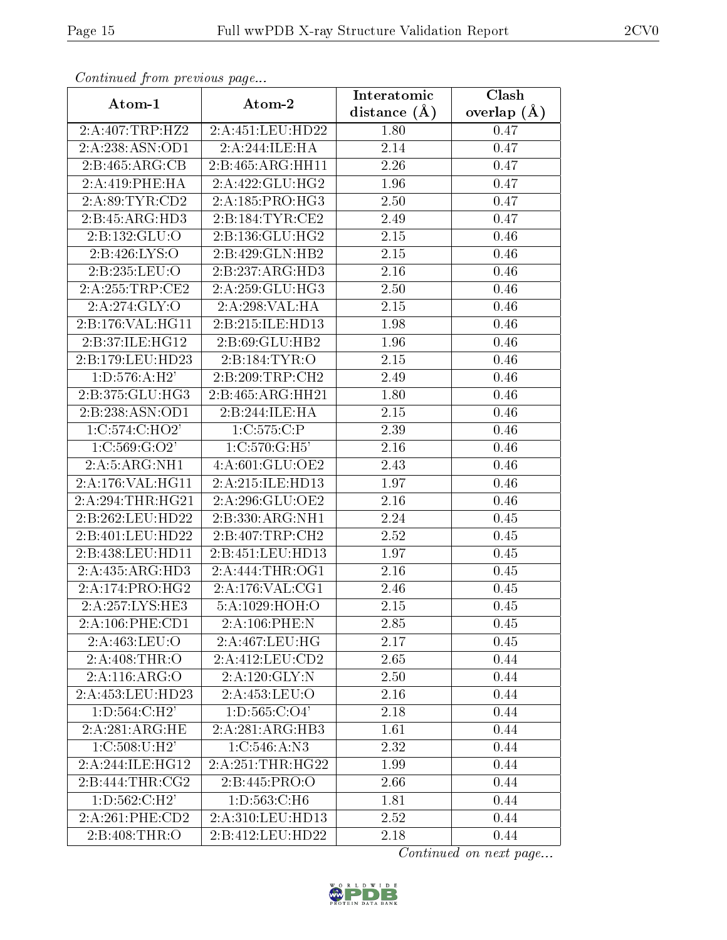| Continuea from previous page |                              | Interatomic       | Clash           |
|------------------------------|------------------------------|-------------------|-----------------|
| Atom-1                       | Atom-2                       | distance $(\AA)$  | overlap $(\AA)$ |
| 2:A:407:TRP:HZ2              | 2:A:451:LEU:HD22             | 1.80              | 0.47            |
| 2:A:238:ASN:OD1              | 2:A:244:ILE:HA               | 2.14              | 0.47            |
| 2:B:465:ARG:CB               | 2:B:465:ARG:HH11             | 2.26              | 0.47            |
| 2:A:419:PHE:HA               | 2:A:422:GLU:HG2              | 1.96              | 0.47            |
| 2:A:89:TYR:CD2               | 2:A:185:PRO:HG3              | 2.50              | 0.47            |
| 2:B:45:ARG:HD3               | 2:B:184:TYR:CE2              | 2.49              | 0.47            |
| 2:B:132:GLU:O                | $2:B:136:\overline{GLU:HG2}$ | 2.15              | 0.46            |
| 2:B:426:LYS:O                | 2:B:429:GLN:HB2              | 2.15              | 0.46            |
| 2:B:235:LEU:O                | 2:B:237:ARG:HD3              | 2.16              | 0.46            |
| 2:A:255:TRP:CE2              | 2:A:259:GLU:HG3              | 2.50              | 0.46            |
| 2:A:274:GLY:O                | 2:A:298:VAL:HA               | 2.15              | 0.46            |
| 2:B:176:VAL:HG11             | 2:B:215:ILE:HD13             | 1.98              | 0.46            |
| 2:B:37:ILE:HG12              | 2: B:69: GLU:HB2             | 1.96              | 0.46            |
| 2:B:179:LEU:HD23             | 2:B:184:TYR:O                | $2.15\,$          | 0.46            |
| 1: D: 576: A: H2'            | 2:B:209:TRP:CH2              | 2.49              | 0.46            |
| 2:B:375:GLU:HG3              | 2:B:465:ARG:HH21             | 1.80              | 0.46            |
| 2:B:238:ASN:OD1              | 2:B:244:ILE:HA               | 2.15              | 0.46            |
| 1:C:574:C:HO2'               | 1:C:575:C:P                  | 2.39              | 0.46            |
| 1:C:569:G:O2'                | 1:C:570:G:H5'                | 2.16              | 0.46            |
| 2:A:5:ARG:NH1                | 4:A:601:GLU:OE2              | 2.43              | 0.46            |
| 2:A:176:VAL:HG11             | 2:A:215:ILE:HD13             | 1.97              | 0.46            |
| 2:A:294:THR:HG21             | 2:A:296:GLU:OE2              | 2.16              | 0.46            |
| 2:B:262:LEU:HD22             | 2:B:330:ARG:NH1              | 2.24              | 0.45            |
| 2:B:401:LEU:HD22             | 2:B:407:TRP:CH2              | $\overline{2.52}$ | 0.45            |
| 2:B:438:LEU:HD11             | 2:B:451:LEU:HD13             | 1.97              | 0.45            |
| 2:A:435:ARG:HD3              | 2:A:444:THR:OG1              | 2.16              | 0.45            |
| 2:A:174:PRO:HG2              | 2:A:176:VAL:CG1              | 2.46              | 0.45            |
| 2:A:257:LYS:HE3              | 5:A:1029:HOH:O               | $2.15\,$          | 0.45            |
| 2:A:106:PHE:CD1              | 2:A:106:PHE:N                | 2.85              | 0.45            |
| 2:A:463:LEU:O                | 2: A:467:LEU:HG              | 2.17              | 0.45            |
| 2: A:408:THR:O               | 2:A:412:LEU:CD2              | 2.65              | 0.44            |
| 2:A:116:ARG:O                | 2:A:120:GLY:N                | 2.50              | 0.44            |
| 2:A:453:LEU:HD23             | 2:A:453:LEU:O                | 2.16              | 0.44            |
| 1: D: 564: C:H2'             | 1: D: 565: C: O4'            | 2.18              | 0.44            |
| 2:A:281:ARG:HE               | 2:A:281:ARG:HB3              | 1.61              | 0.44            |
| 1:C:508:U:H2'                | 1: C: 546: A: N3             | 2.32              | 0.44            |
| 2:A:244:ILE:HG12             | 2: A:251:THR:HG22            | 1.99              | 0.44            |
| 2:B:444:THR:CG2              | 2:B:445:PRO:O                | 2.66              | 0.44            |
| 1:D:562:C:H2'                | 1:D:563:C:H6                 | 1.81              | 0.44            |
| 2:A:261:PHE:CD2              | 2:A:310:LEU:HD13             | 2.52              | 0.44            |
| 2:B:408:THR:O                | 2:B:412:LEU:HD22             | 2.18              | 0.44            |

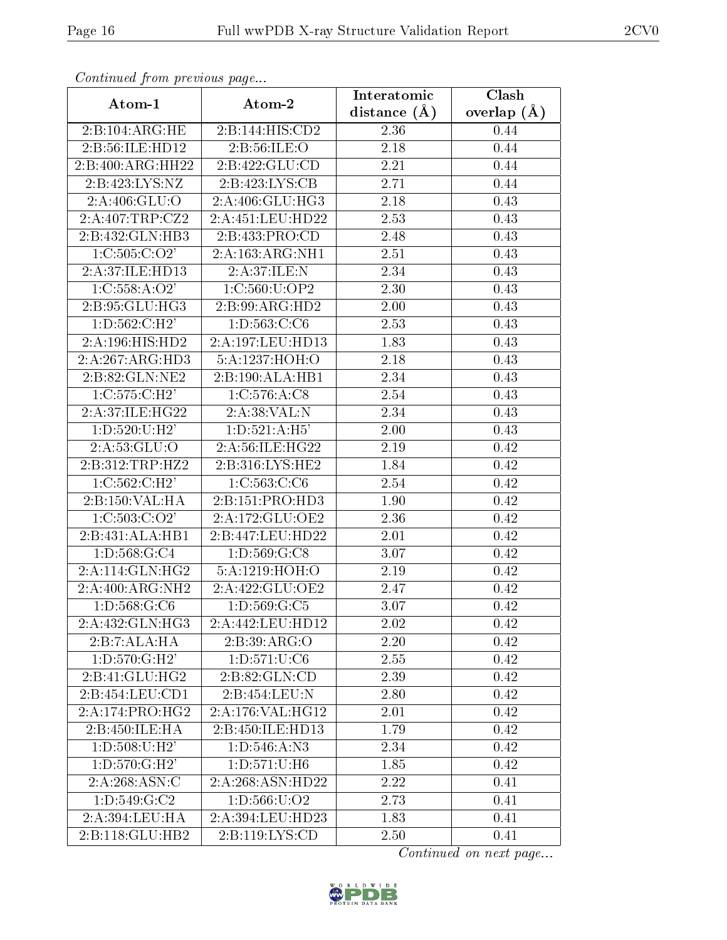| Continua from pretious page |                               | Interatomic    | Clash         |
|-----------------------------|-------------------------------|----------------|---------------|
| Atom-1                      | Atom-2                        | distance $(A)$ | overlap $(A)$ |
| 2:B:104:ARG:HE              | 2:B:144:HIS:CD2               | 2.36           | 0.44          |
| 2:B:56:ILE:HD12             | 2:B:56:ILE:O                  | 2.18           | 0.44          |
| 2:B:400:ARG:HH22            | 2:B:422:GLU:CD                | 2.21           | 0.44          |
| 2:B:423:LYS:NZ              | 2:B:423:LYS:CB                | 2.71           | 0.44          |
| 2:A:406:GLU:O               | 2:A:406:GLU:HG3               | 2.18           | 0.43          |
| 2:A:407:TRP:CZ2             | 2:A:451:LEU:HD22              | 2.53           | 0.43          |
| 2:B:432:GLN:HB3             | 2:B:433:PRO:CD                | 2.48           | 0.43          |
| 1:C:505:C:O2'               | 2:A:163:ARG:NH1               | 2.51           | 0.43          |
| 2:A:37:ILE:HD13             | 2:A:37:ILE:N                  | 2.34           | 0.43          |
| 1: C: 558: A: O2'           | 1:C:560:U:OP2                 | 2.30           | 0.43          |
| 2:B:95:GLU:HG3              | 2:B:99:ARG:HD2                | 2.00           | 0.43          |
| 1: D: 562: C: H2'           | 1:D:563:C:C6                  | 2.53           | 0.43          |
| 2:A:196:HIS:HD2             | 2:A:197:LEU:HD13              | 1.83           | 0.43          |
| 2:A:267:ARG:HD3             | 5:A:1237:HOH:O                | 2.18           | 0.43          |
| 2:B:82:GLN:NE2              | 2:B:190:ALA:HB1               | 2.34           | 0.43          |
| 1: C: 575: C: H2'           | 1: C: 576: A: C8              | 2.54           | 0.43          |
| 2:A:37:ILE:HG22             | 2:A:38:VAL:N                  | 2.34           | 0.43          |
| 1: D: 520: U: H2'           | 1: D: 521: A: H5'             | 2.00           | 0.43          |
| 2:A:53:GLU:O                | 2:A:56:ILE:HG22               | 2.19           | 0.42          |
| 2: B:312: TRP: HZ2          | 2:B:316:LYS:HE2               | 1.84           | 0.42          |
| 1: C: 562: C: H2'           | 1: C: 563: C: C6              | 2.54           | 0.42          |
| 2:B:150:VAL:HA              | 2:B:151:PRO:HD3               | 1.90           | 0.42          |
| 1:C:503:C:O2'               | 2:A:172:GLU:OE2               | 2.36           | 0.42          |
| 2:B:431:ALA:HB1             | 2:B:447:LEU:HD22              | 2.01           | 0.42          |
| 1: D: 568: G: C4            | 1:D:569:G:C8                  | 3.07           | 0.42          |
| 2:A:114:GLN:HG2             | 5:A:1219:HOH:O                | 2.19           | 0.42          |
| 2:A:400:ARG:NH2             | 2:A:422:GLU:OE2               | 2.47           | 0.42          |
| 1:D:568:G:C6                | $1: D: 569: G: \overline{C5}$ | 3.07           | 0.42          |
| 2:A:432:GLN:HG3             | 2:A:442:LEU:HD12              | 2.02           | $0.42\,$      |
| 2:B:7:ALA:HA                | 2:B:39:ARG:O                  | $2.20\,$       | 0.42          |
| 1: D: 570: G:H2'            | 1: D: 571: U: C6              | 2.55           | 0.42          |
| 2:B:41:GLU:HG2              | 2:B:82:GLN:CD                 | 2.39           | 0.42          |
| 2:B:454:LEU:CD1             | 2:B:454:LEU:N                 | 2.80           | 0.42          |
| 2:A:174:PRO:HG2             | 2: A:176: VAL:HG12            | 2.01           | 0.42          |
| 2:B:450:ILE:HA              | 2:B:450:ILE:HD13              | 1.79           | 0.42          |
| 1: D: 508: U:H2'            | 1:D:546:A:N3                  | 2.34           | 0.42          |
| 1: D: 570: G:H2'            | 1:D:571:U:H6                  | 1.85           | 0.42          |
| 2: A:268: ASN: C            | 2:A:268:ASN:HD22              | 2.22           | 0.41          |
| 1: D: 549: G: C2            | 1: D: 566: U: O2              | 2.73           | 0.41          |
| 2:A:394:LEU:HA              | 2:A:394:LEU:HD23              | 1.83           | 0.41          |
| 2:B:118:GLU:HB2             | 2: B: 119: LYS: CD            | 2.50           | 0.41          |

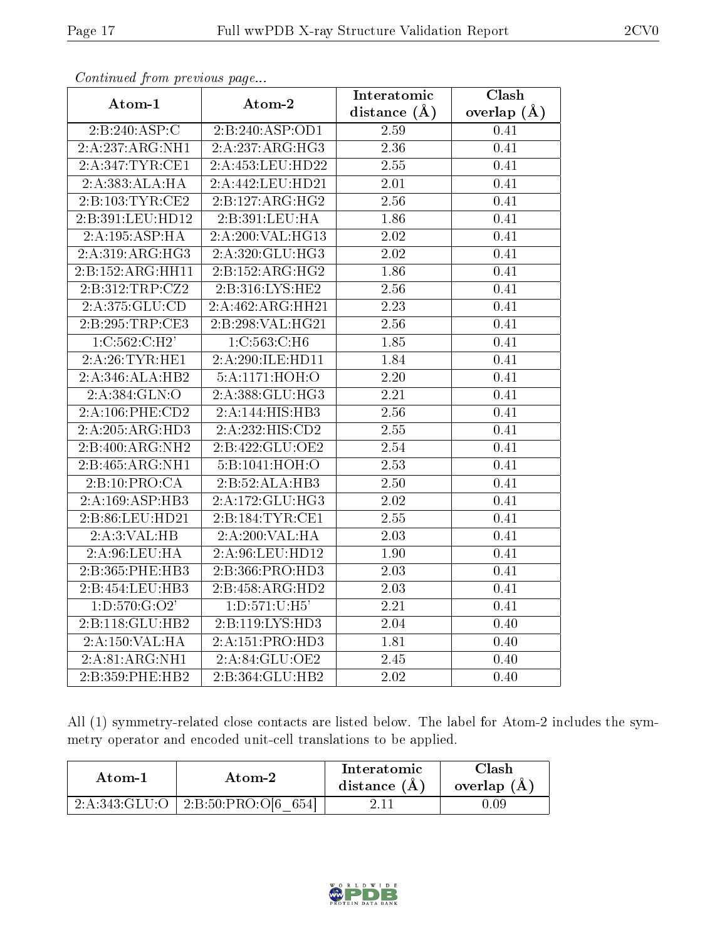| connunctu from previous page |                              | Interatomic       | $\overline{\text{Clash}}$ |
|------------------------------|------------------------------|-------------------|---------------------------|
| Atom-1                       | Atom-2                       | distance $(A)$    | overlap $(A)$             |
| 2:B:240:ASP:C                | 2:B:240:ASP:OD1              | 2.59              | 0.41                      |
| 2:A:237:ARG:NH1              | $2:A:\overline{237:ARG:HG3}$ | 2.36              | 0.41                      |
| 2:A:347:TYR:CE1              | 2:A:453:LEU:HD22             | 2.55              | 0.41                      |
| 2:A:383:ALA:HA               | 2:A:442:LEU:HD21             | 2.01              | 0.41                      |
| 2:B:103:TYR:CE2              | 2:B:127:ARG:HG2              | 2.56              | 0.41                      |
| 2:B:391:LEU:HD12             | 2:B:391:LEU:HA               | 1.86              | 0.41                      |
| 2:A:195:ASP:HA               | 2:A:200:VAL:HG13             | $\overline{2.02}$ | 0.41                      |
| 2:A:319:ARG:HG3              | 2:A:320:GLU:HG3              | 2.02              | 0.41                      |
| 2:B:152:ARG:HH11             | 2:B:152:ARG:HG2              | 1.86              | $\overline{0.41}$         |
| 2:B:312:TRP:CZ2              | 2:B:316:LYS:HE2              | 2.56              | 0.41                      |
| 2:A:375:GLU:CD               | 2:A:462:ARG:HH21             | $\overline{2.23}$ | 0.41                      |
| 2:B:295:TRP:CE3              | 2:B:298:VAL:HG21             | 2.56              | 0.41                      |
| $1:C:562:C:\overline{H2'}$   | 1: C: 563: C: H6             | 1.85              | 0.41                      |
| 2:A:26:TYR:HE1               | 2:A:290:ILE:HD11             | 1.84              | 0.41                      |
| 2:A:346:ALA:HB2              | 5:A:1171:HOH:O               | 2.20              | 0.41                      |
| 2:A:384:GLN:O                | 2:A:388:GLU:HG3              | 2.21              | 0.41                      |
| 2:A:106:PHE:CD2              | 2:A:144:HIS:HB3              | 2.56              | 0.41                      |
| 2:A:205:ARG:HD3              | 2:A:232:HIS:CD2              | $\overline{2.55}$ | 0.41                      |
| 2:B:400:ARG:NH2              | 2:B:422:GLU:OE2              | 2.54              | 0.41                      |
| 2:B:465:ARG:NH1              | 5:B:1041:HOH:O               | 2.53              | 0.41                      |
| 2:B:10:PRO:CA                | 2:B:52:ALA:HB3               | 2.50              | 0.41                      |
| 2:A:169:ASP:HB3              | 2:A:172:GLU:HG3              | 2.02              | 0.41                      |
| 2:B:86:LEU:HD21              | 2:B:184:TYR:CE1              | $\overline{2.55}$ | 0.41                      |
| 2:A:3:VAL:HB                 | 2:A:200:VAL:HA               | 2.03              | 0.41                      |
| 2:A:96:LEU:HA                | 2:A:96:LEU:HD12              | 1.90              | 0.41                      |
| 2:B:365:PHE:HB3              | 2:B:366:PRO:HD3              | 2.03              | 0.41                      |
| 2:B:454:LEU:HB3              | 2:B:458:ARG:HD2              | 2.03              | 0.41                      |
| 1:D:570:G:O2'                | 1:D:571:U:H5'                | 2.21              | 0.41                      |
| 2:B:118:GLU:HB2              | 2:B:119:LYS:HD3              | 2.04              | 0.40                      |
| 2:A:150:VAL:HA               | 2:A:151:PRO:HD3              | 1.81              | 0.40                      |
| 2:A:81:ARG:NH1               | 2:A:84:GLU:OE2               | 2.45              | 0.40                      |
| 2:B:359:PHE:HB2              | 2:B:364:GLU:HB2              | 2.02              | 0.40                      |

All (1) symmetry-related close contacts are listed below. The label for Atom-2 includes the symmetry operator and encoded unit-cell translations to be applied.

| Atom-1 | Atom-2                                        | Interatomic<br>distance $(A)$ | 7lash<br>overlap $(A)$ |
|--------|-----------------------------------------------|-------------------------------|------------------------|
|        | $2:A:343:GLU:O$   $2:B:50:PRO:O[6]$<br>- 654] |                               | , 199                  |

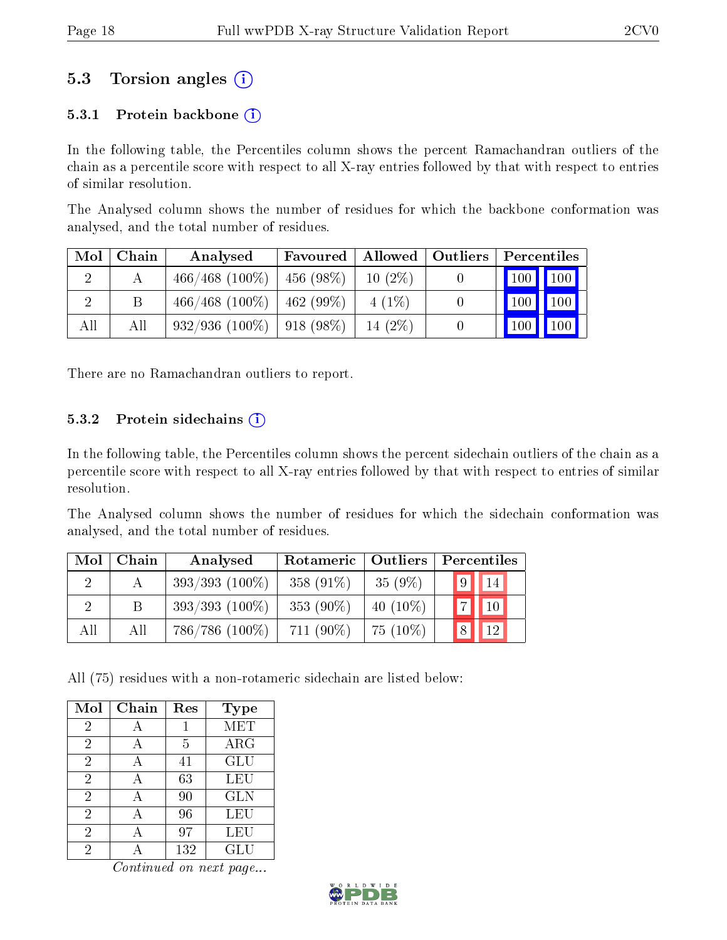## 5.3 Torsion angles (i)

#### 5.3.1 Protein backbone  $(i)$

In the following table, the Percentiles column shows the percent Ramachandran outliers of the chain as a percentile score with respect to all X-ray entries followed by that with respect to entries of similar resolution.

The Analysed column shows the number of residues for which the backbone conformation was analysed, and the total number of residues.

| Mol | Chain | Analysed          | Favoured             | $\mid$ Allowed $\mid$ Outliers | Percentiles    |
|-----|-------|-------------------|----------------------|--------------------------------|----------------|
| റ   |       | $466/468$ (100\%) | $456(98\%)$          | $10(2\%)$                      | $100$   $100$  |
|     | В     | $466/468$ (100\%) | $^{\circ}$ 462 (99%) | $4(1\%)$                       | $100\,$<br>100 |
| All | Аll   | $932/936(100\%)$  | 918 (98%)            | 14 $(2%)$                      | 100<br>$100\,$ |

There are no Ramachandran outliers to report.

#### 5.3.2 Protein sidechains  $(i)$

In the following table, the Percentiles column shows the percent sidechain outliers of the chain as a percentile score with respect to all X-ray entries followed by that with respect to entries of similar resolution.

The Analysed column shows the number of residues for which the sidechain conformation was analysed, and the total number of residues.

| Mol      | Chain | Analysed          | Rotameric   Outliers |             | Percentiles                    |
|----------|-------|-------------------|----------------------|-------------|--------------------------------|
|          |       | $393/393$ (100\%) | 358 $(91\%)$         | $35(9\%)$   | $\vert 9 \vert \vert 14 \vert$ |
| $\Omega$ | B.    | $393/393$ (100%)  | 353 $(90\%)$         | 40 $(10\%)$ | $\boxed{7}$ $\boxed{10}$       |
| All      | All   | $786/786$ (100%)  | $711(90\%)$          | $75(10\%)$  | $\sqrt{8}$<br> 12              |

All (75) residues with a non-rotameric sidechain are listed below:

| Mol            | Chain | Res | Type       |
|----------------|-------|-----|------------|
| 2              |       | 1   | <b>MET</b> |
| $\overline{2}$ | А     | 5   | ARG        |
| $\overline{2}$ | А     | 41  | <b>GLU</b> |
| $\overline{2}$ |       | 63  | LEU        |
| $\overline{2}$ |       | 90  | <b>GLN</b> |
| $\overline{2}$ |       | 96  | LEU        |
| $\overline{2}$ |       | 97  | LEU        |
| 2              |       | 132 | GLU        |

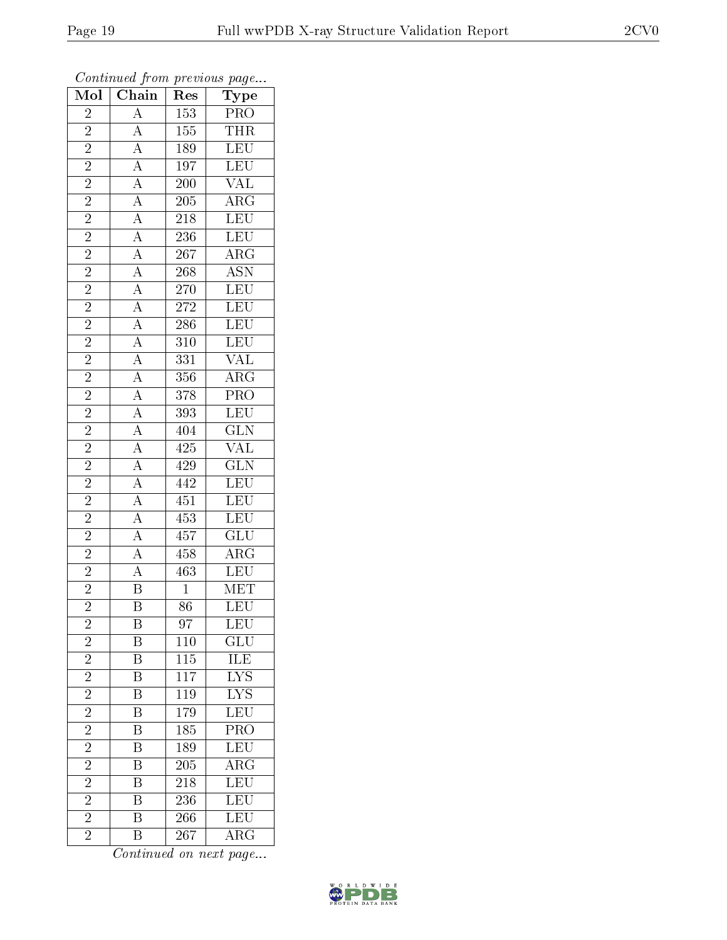| $\overline{\text{Mol}}$ | $\cdot$<br>$\overline{\text{Chain}}$                                                                                                                                                                                                                                                                                                                                                                  | ı.<br>Res        | $\mathbf{r}$<br>$\overline{ }$<br>$\overline{\text{Type}}$                                                                  |
|-------------------------|-------------------------------------------------------------------------------------------------------------------------------------------------------------------------------------------------------------------------------------------------------------------------------------------------------------------------------------------------------------------------------------------------------|------------------|-----------------------------------------------------------------------------------------------------------------------------|
| $\overline{2}$          |                                                                                                                                                                                                                                                                                                                                                                                                       | 153              |                                                                                                                             |
| $\overline{2}$          |                                                                                                                                                                                                                                                                                                                                                                                                       | $\overline{155}$ | $\frac{\overline{\text{PRO}}}{\text{THR}}$                                                                                  |
| $\overline{2}$          |                                                                                                                                                                                                                                                                                                                                                                                                       | <b>189</b>       | LEU<br>LEU<br>LEU                                                                                                           |
| $\overline{2}$          |                                                                                                                                                                                                                                                                                                                                                                                                       | 197              |                                                                                                                             |
| $\overline{2}$          |                                                                                                                                                                                                                                                                                                                                                                                                       | $\overline{200}$ | $\frac{\overline{\text{VAL}}}{\text{ARG}}$                                                                                  |
| $\overline{2}$          |                                                                                                                                                                                                                                                                                                                                                                                                       | $205\,$          |                                                                                                                             |
| $\overline{2}$          |                                                                                                                                                                                                                                                                                                                                                                                                       | <b>218</b>       | LEU<br>LEU<br>TEU                                                                                                           |
| $\overline{2}$          |                                                                                                                                                                                                                                                                                                                                                                                                       | $\overline{236}$ |                                                                                                                             |
|                         |                                                                                                                                                                                                                                                                                                                                                                                                       | <b>267</b>       | $\frac{\overline{\text{ARG}}}{\overline{\text{ASN}}}$                                                                       |
| $\frac{2}{2}$           |                                                                                                                                                                                                                                                                                                                                                                                                       | $\overline{268}$ |                                                                                                                             |
| $\overline{2}$          |                                                                                                                                                                                                                                                                                                                                                                                                       | <b>270</b>       | LEU                                                                                                                         |
| $\overline{2}$          |                                                                                                                                                                                                                                                                                                                                                                                                       | $\overline{272}$ | LEU                                                                                                                         |
| $\overline{2}$          |                                                                                                                                                                                                                                                                                                                                                                                                       | $\overline{286}$ |                                                                                                                             |
|                         | $\frac{\frac{1}{\sqrt{1.05}}}{\frac{1}{\sqrt{1.05}}}\frac{\frac{1}{\sqrt{1.05}}}{\frac{1}{\sqrt{1.05}}}\frac{\frac{1}{\sqrt{1.05}}}{\frac{1}{\sqrt{1.05}}}\frac{\frac{1}{\sqrt{1.05}}}{\frac{1}{\sqrt{1.05}}}\frac{\frac{1}{\sqrt{1.05}}}{\frac{1}{\sqrt{1.05}}}\frac{\frac{1}{\sqrt{1.05}}}{\frac{1}{\sqrt{1.05}}}\frac{\frac{1}{\sqrt{1.05}}}{\frac{1}{\sqrt{1.05}}}\frac{\frac{1}{\sqrt{1.05}}}{\$ | $\overline{310}$ | LEU<br>LEU                                                                                                                  |
| $\frac{2}{2}$           |                                                                                                                                                                                                                                                                                                                                                                                                       | 331              |                                                                                                                             |
| $\overline{2}$          |                                                                                                                                                                                                                                                                                                                                                                                                       | $\overline{356}$ | $\frac{\rm VAL}{\rm ARG}{\rm PRO}_{\rm LEU}$ $\frac{\rm LEU}{\rm GLN}{\rm MAL}{\rm GLN}$ $\frac{\rm GLN}{\rm LEU}{\rm LEU}$ |
| $\overline{2}$          |                                                                                                                                                                                                                                                                                                                                                                                                       | 378              |                                                                                                                             |
| $\overline{2}$          |                                                                                                                                                                                                                                                                                                                                                                                                       | 393              |                                                                                                                             |
| $\frac{2}{2}$           |                                                                                                                                                                                                                                                                                                                                                                                                       | $\overline{404}$ |                                                                                                                             |
|                         |                                                                                                                                                                                                                                                                                                                                                                                                       | $\overline{425}$ |                                                                                                                             |
| $\overline{2}$          |                                                                                                                                                                                                                                                                                                                                                                                                       | 429              |                                                                                                                             |
|                         |                                                                                                                                                                                                                                                                                                                                                                                                       | 442              |                                                                                                                             |
| $\frac{2}{2}$           |                                                                                                                                                                                                                                                                                                                                                                                                       | $\overline{451}$ |                                                                                                                             |
| $\overline{2}$          |                                                                                                                                                                                                                                                                                                                                                                                                       | 453              | <b>LEU</b>                                                                                                                  |
| $\overline{2}$          |                                                                                                                                                                                                                                                                                                                                                                                                       | $\overline{457}$ | $\overline{\text{GLU}}$                                                                                                     |
| $\overline{2}$          |                                                                                                                                                                                                                                                                                                                                                                                                       | $\overline{458}$ | $\overline{\rm ARG}$                                                                                                        |
| $\frac{2}{2}$           |                                                                                                                                                                                                                                                                                                                                                                                                       | $\overline{463}$ | LEU                                                                                                                         |
|                         |                                                                                                                                                                                                                                                                                                                                                                                                       | $\mathbf 1$      | MET                                                                                                                         |
| $\overline{2}$          |                                                                                                                                                                                                                                                                                                                                                                                                       | $\overline{86}$  | LEU                                                                                                                         |
| $\overline{c}$          | B                                                                                                                                                                                                                                                                                                                                                                                                     | 97               | LEU                                                                                                                         |
| $\overline{2}$          | B                                                                                                                                                                                                                                                                                                                                                                                                     | 110              | $\widetilde{{\rm GLU}}$                                                                                                     |
| $\overline{2}$          | $\overline{\mathrm{B}}$                                                                                                                                                                                                                                                                                                                                                                               | <b>115</b>       | $\overline{\text{ILE}}$                                                                                                     |
| $\overline{c}$          | Β                                                                                                                                                                                                                                                                                                                                                                                                     | 117              | $\overline{\text{LYS}}$                                                                                                     |
| $\overline{2}$          | $\overline{\mathrm{B}}$                                                                                                                                                                                                                                                                                                                                                                               | 119              | $\overline{\text{LYS}}$                                                                                                     |
| $\overline{2}$          | Β                                                                                                                                                                                                                                                                                                                                                                                                     | 179              | LEU                                                                                                                         |
| $\overline{2}$          | $\overline{\mathrm{B}}$                                                                                                                                                                                                                                                                                                                                                                               | 185              | $\overline{\text{PRO}}$                                                                                                     |
| $\overline{2}$          | Β                                                                                                                                                                                                                                                                                                                                                                                                     | 189              | $\overline{\text{LEU}}$                                                                                                     |
| $\overline{2}$          | $\overline{\rm B}$                                                                                                                                                                                                                                                                                                                                                                                    | 205              | $\overline{\rm{ARG}}$                                                                                                       |
| $\overline{2}$          | $\overline{\mathrm{B}}$                                                                                                                                                                                                                                                                                                                                                                               | 218              | LEU <sup></sup>                                                                                                             |
| $\overline{2}$          | ĒΒ                                                                                                                                                                                                                                                                                                                                                                                                    | 236              | LEU                                                                                                                         |
| $\overline{2}$          | Β                                                                                                                                                                                                                                                                                                                                                                                                     | 266              | $\overline{\text{LEU}}$                                                                                                     |
| $\overline{2}$          | Β                                                                                                                                                                                                                                                                                                                                                                                                     | 267              | $\overline{\rm{ARG}}$                                                                                                       |

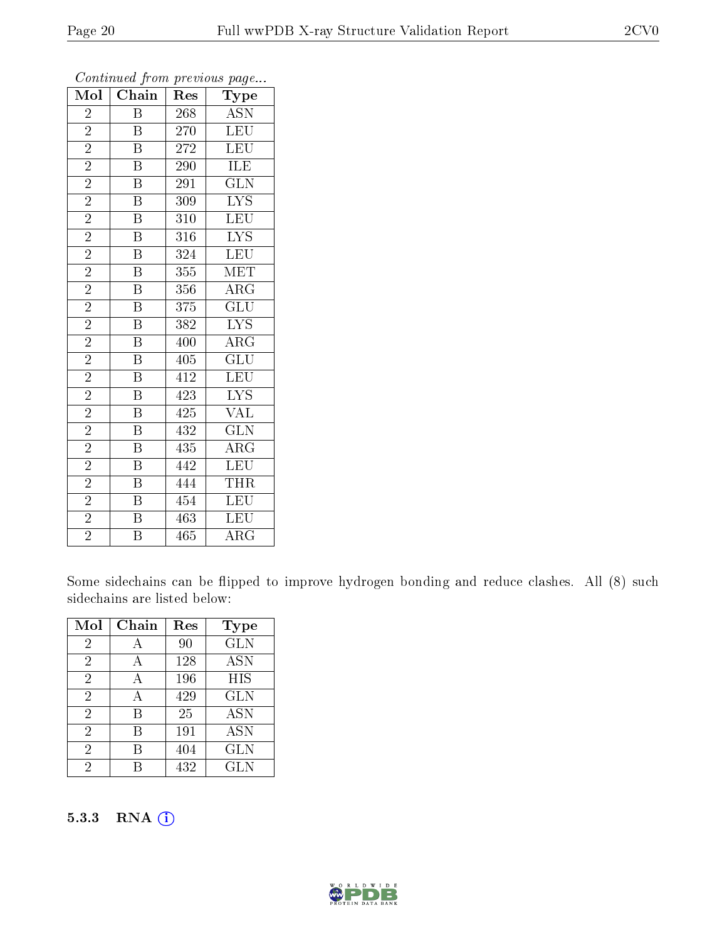| Mol            | Chain                   | Res              | Type                      |
|----------------|-------------------------|------------------|---------------------------|
| $\overline{2}$ | B                       | 268              | <b>ASN</b>                |
| $\overline{2}$ | B                       | 270              | <b>LEU</b>                |
| $\overline{2}$ | $\overline{\mathrm{B}}$ | $\overline{272}$ | <b>LEU</b>                |
| $\overline{2}$ | $\overline{\mathrm{B}}$ | 290              | ILE                       |
| $\overline{2}$ | $\overline{\mathrm{B}}$ | 291              | $\overline{\text{GLN}}$   |
| $\overline{2}$ | $\overline{\mathrm{B}}$ | 309              | $\overline{\text{LYS}}$   |
| $\overline{2}$ | $\overline{\mathrm{B}}$ | 310              | $\overline{\text{LEU}}$   |
| $\overline{2}$ | $\overline{\mathrm{B}}$ | 316              | <b>LYS</b>                |
| $\overline{2}$ | $\overline{\mathrm{B}}$ | 324              | LEU                       |
| $\overline{2}$ | $\overline{\mathrm{B}}$ | 355              | MET                       |
| $\overline{2}$ | $\overline{\mathrm{B}}$ | 356              | $\rm{ARG}$                |
| $\overline{2}$ | $\overline{\mathrm{B}}$ | 375              | $\overline{{\rm GLU}}$    |
| $\overline{2}$ | $\overline{\mathrm{B}}$ | 382              | <b>LYS</b>                |
| $\overline{2}$ | $\overline{\mathrm{B}}$ | 400              | $\overline{\rm{ARG}}$     |
| $\overline{2}$ | $\overline{\mathrm{B}}$ | 405              | $\overline{\mathrm{GLU}}$ |
| $\overline{2}$ | $\overline{\mathrm{B}}$ | 412              | LEU                       |
| $\overline{2}$ | $\overline{\mathrm{B}}$ | 423              | $\overline{\text{LYS}}$   |
| $\overline{2}$ | B                       | 425              | <b>VAL</b>                |
| $\overline{2}$ | $\overline{\mathrm{B}}$ | 432              | $\overline{\text{GLN}}$   |
| $\overline{2}$ | $\overline{\mathbf{B}}$ | 435              | $\rm{ARG}$                |
| $\overline{2}$ | $\overline{\mathrm{B}}$ | 442              | LEU                       |
| $\overline{2}$ | $\overline{\mathrm{B}}$ | 444              | <b>THR</b>                |
| $\overline{2}$ | $\overline{\mathrm{B}}$ | 454              | LEU                       |
| $\overline{2}$ | $\overline{\mathrm{B}}$ | 463              | LEU                       |
| $\overline{2}$ | $\overline{\mathrm{B}}$ | 465              | $\rm{ARG}$                |

Some sidechains can be flipped to improve hydrogen bonding and reduce clashes. All (8) such sidechains are listed below:

| Mol            | Chain | Res | Type       |
|----------------|-------|-----|------------|
| $\overline{2}$ |       | 90  | <b>GLN</b> |
| $\overline{2}$ | А     | 128 | <b>ASN</b> |
| $\overline{2}$ | А     | 196 | <b>HIS</b> |
| $\overline{2}$ | А     | 429 | <b>GLN</b> |
| $\overline{2}$ | В     | 25  | <b>ASN</b> |
| $\overline{2}$ | В     | 191 | <b>ASN</b> |
| $\overline{2}$ | В     | 404 | <b>GLN</b> |
| 2              |       | 432 | <b>GLN</b> |

#### 5.3.3 RNA (i)

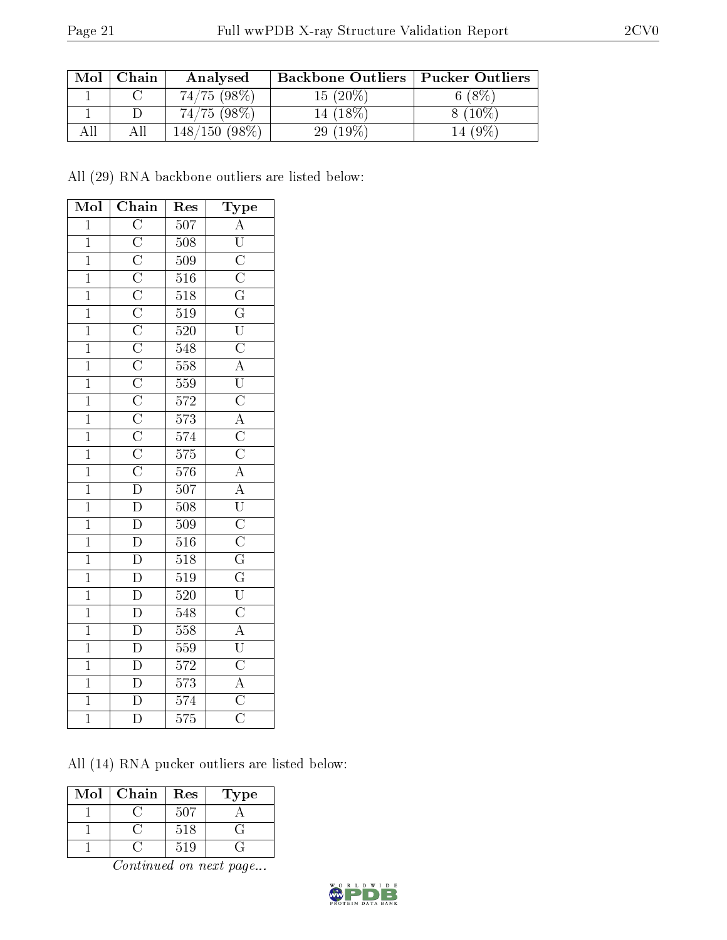| Mol | Chain | Analysed    | <b>Backbone Outliers   Pucker Outliers</b> |          |
|-----|-------|-------------|--------------------------------------------|----------|
|     |       | 74/75(98%)  | $15(20\%)$                                 | $8\%$    |
|     |       | 74/75(98%)  | 14 (18\%)                                  | $(10\%)$ |
|     | АH    | (98%<br>150 | $29(19\%)$                                 |          |

All (29) RNA backbone outliers are listed below:

| Mol            | ${\bf Chain}$ | Res              |                                                                                                                                                                                                                                                                                                                                                                                                                                                              |
|----------------|---------------|------------------|--------------------------------------------------------------------------------------------------------------------------------------------------------------------------------------------------------------------------------------------------------------------------------------------------------------------------------------------------------------------------------------------------------------------------------------------------------------|
| $\overline{1}$ |               | $\overline{507}$ |                                                                                                                                                                                                                                                                                                                                                                                                                                                              |
| $\overline{1}$ |               | $\overline{508}$ |                                                                                                                                                                                                                                                                                                                                                                                                                                                              |
| $\overline{1}$ |               | 509              |                                                                                                                                                                                                                                                                                                                                                                                                                                                              |
| $\overline{1}$ |               | $\overline{516}$ |                                                                                                                                                                                                                                                                                                                                                                                                                                                              |
| $\overline{1}$ |               | $\overline{518}$ |                                                                                                                                                                                                                                                                                                                                                                                                                                                              |
| $\overline{1}$ |               | $\overline{519}$ |                                                                                                                                                                                                                                                                                                                                                                                                                                                              |
| $\overline{1}$ |               | 520              |                                                                                                                                                                                                                                                                                                                                                                                                                                                              |
| $\overline{1}$ |               | $\overline{548}$ |                                                                                                                                                                                                                                                                                                                                                                                                                                                              |
| $\overline{1}$ |               | 558              |                                                                                                                                                                                                                                                                                                                                                                                                                                                              |
| $\overline{1}$ |               | $\overline{559}$ | $\begin{tabular}{c c} Type & \textbf{Type} \\ \hline \hline \textbf{1} & \textbf{1} & \textbf{1} \\ \hline \textbf{2} & \textbf{1} & \textbf{1} \\ \hline \textbf{3} & \textbf{1} & \textbf{1} \\ \hline \textbf{4} & \textbf{1} & \textbf{1} \\ \hline \textbf{5} & \textbf{1} & \textbf{1} \\ \hline \textbf{6} & \textbf{1} & \textbf{1} \\ \hline \textbf{7} & \textbf{1} & \textbf{1} \\ \hline \textbf{8} & \textbf{1} & \textbf{1} \\ \hline \textbf$ |
| $\overline{1}$ |               | 572              |                                                                                                                                                                                                                                                                                                                                                                                                                                                              |
| $\overline{1}$ |               | $\overline{573}$ |                                                                                                                                                                                                                                                                                                                                                                                                                                                              |
| $\overline{1}$ |               | 574              |                                                                                                                                                                                                                                                                                                                                                                                                                                                              |
| $\overline{1}$ |               | $\overline{575}$ |                                                                                                                                                                                                                                                                                                                                                                                                                                                              |
| $\overline{1}$ |               | 576              |                                                                                                                                                                                                                                                                                                                                                                                                                                                              |
| $\overline{1}$ |               | $\overline{507}$ |                                                                                                                                                                                                                                                                                                                                                                                                                                                              |
| $\overline{1}$ |               | $\overline{508}$ |                                                                                                                                                                                                                                                                                                                                                                                                                                                              |
| $\overline{1}$ |               | $\overline{509}$ |                                                                                                                                                                                                                                                                                                                                                                                                                                                              |
| $\overline{1}$ |               | $\overline{516}$ |                                                                                                                                                                                                                                                                                                                                                                                                                                                              |
| $\overline{1}$ |               | $\overline{518}$ |                                                                                                                                                                                                                                                                                                                                                                                                                                                              |
| $\overline{1}$ |               | $\overline{519}$ |                                                                                                                                                                                                                                                                                                                                                                                                                                                              |
| $\mathbf{1}$   |               |                  |                                                                                                                                                                                                                                                                                                                                                                                                                                                              |
| $\overline{1}$ |               | $rac{520}{548}$  |                                                                                                                                                                                                                                                                                                                                                                                                                                                              |
| $\overline{1}$ |               | $\overline{558}$ |                                                                                                                                                                                                                                                                                                                                                                                                                                                              |
| $\overline{1}$ |               | $\frac{559}{2}$  |                                                                                                                                                                                                                                                                                                                                                                                                                                                              |
| $\overline{1}$ |               | 572              |                                                                                                                                                                                                                                                                                                                                                                                                                                                              |
| $\overline{1}$ |               | $\overline{573}$ |                                                                                                                                                                                                                                                                                                                                                                                                                                                              |
| $\overline{1}$ |               | 574              |                                                                                                                                                                                                                                                                                                                                                                                                                                                              |
| $\overline{1}$ |               | $\overline{575}$ |                                                                                                                                                                                                                                                                                                                                                                                                                                                              |

All (14) RNA pucker outliers are listed below:

| Mol | Chain | Res | Type |
|-----|-------|-----|------|
|     |       | 507 |      |
|     |       | 518 |      |
|     |       | 519 |      |

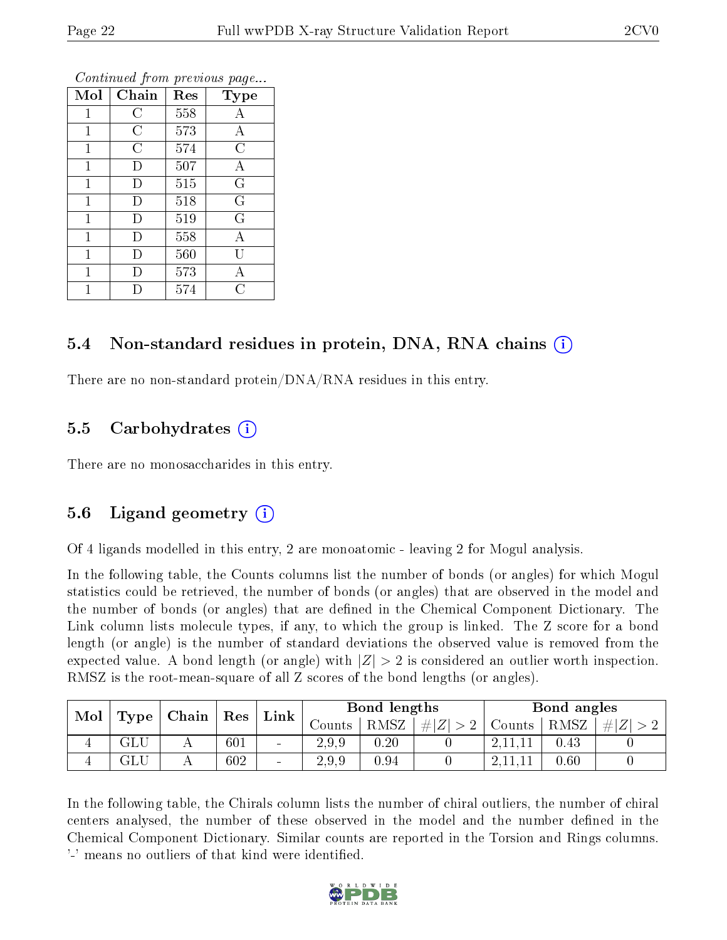| Mol          | Chain          | Res | Type                    |
|--------------|----------------|-----|-------------------------|
| 1            | С              | 558 | A                       |
| 1            | $\overline{C}$ | 573 | А                       |
| 1            | $\overline{C}$ | 574 | $\overline{C}$          |
| $\mathbf 1$  | D              | 507 | А                       |
| $\mathbf 1$  | D              | 515 | $\overline{\mathrm{G}}$ |
| $\mathbf{1}$ | D              | 518 | $\mathbf G$             |
| $\mathbf{1}$ | D              | 519 | $\overline{G}$          |
| $\mathbf{1}$ | D              | 558 | A                       |
| $\mathbf{1}$ | D              | 560 | Ū                       |
| 1            | Ð              | 573 | А                       |
|              |                | 574 | $\overline{\rm C}$      |

#### 5.4 Non-standard residues in protein, DNA, RNA chains (i)

There are no non-standard protein/DNA/RNA residues in this entry.

#### 5.5 Carbohydrates (i)

There are no monosaccharides in this entry.

#### 5.6 Ligand geometry (i)

Of 4 ligands modelled in this entry, 2 are monoatomic - leaving 2 for Mogul analysis.

In the following table, the Counts columns list the number of bonds (or angles) for which Mogul statistics could be retrieved, the number of bonds (or angles) that are observed in the model and the number of bonds (or angles) that are defined in the Chemical Component Dictionary. The Link column lists molecule types, if any, to which the group is linked. The Z score for a bond length (or angle) is the number of standard deviations the observed value is removed from the expected value. A bond length (or angle) with  $|Z| > 2$  is considered an outlier worth inspection. RMSZ is the root-mean-square of all Z scores of the bond lengths (or angles).

| Mol |      | $\mid$ Chain $\mid$ Res |     | $\perp$ Link $\perp$     | Bond lengths |      |                  | Bond angles |      |  |
|-----|------|-------------------------|-----|--------------------------|--------------|------|------------------|-------------|------|--|
|     | Type |                         |     |                          | Counts-      | RMSZ | $\# Z  > 2^{-1}$ | Counts      | RMSZ |  |
|     | ЭLU  |                         | 601 | $\sim$                   | 2.9.9        | 0.20 |                  |             | 0.43 |  |
| 4   | ЭLС  |                         | 602 | $\overline{\phantom{a}}$ | 2.9.9        | 0.94 |                  |             | 0.60 |  |

In the following table, the Chirals column lists the number of chiral outliers, the number of chiral centers analysed, the number of these observed in the model and the number defined in the Chemical Component Dictionary. Similar counts are reported in the Torsion and Rings columns. '-' means no outliers of that kind were identified.

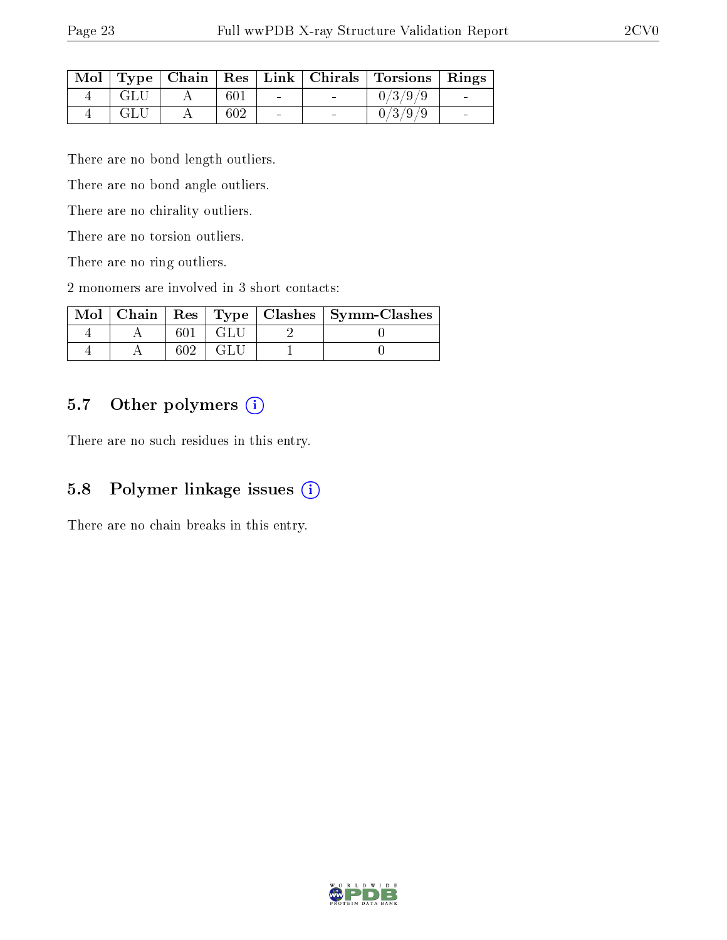| $\text{Mol}$ |      |     |                |                          | Type   Chain   Res   Link   Chirals   Torsions   Rings |  |
|--------------|------|-----|----------------|--------------------------|--------------------------------------------------------|--|
|              | GLU  | 601 | $\sim$         | <b>Contract Contract</b> | 0/3/9/9                                                |  |
|              | -GLU | 602 | $\blacksquare$ |                          | 0/3/9/9                                                |  |

There are no bond length outliers.

There are no bond angle outliers.

There are no chirality outliers.

There are no torsion outliers.

There are no ring outliers.

2 monomers are involved in 3 short contacts:

|  |  | Mol   Chain   Res   Type   Clashes   Symm-Clashes |
|--|--|---------------------------------------------------|
|  |  |                                                   |
|  |  |                                                   |

#### 5.7 [O](https://www.wwpdb.org/validation/2017/XrayValidationReportHelp#nonstandard_residues_and_ligands)ther polymers (i)

There are no such residues in this entry.

### 5.8 Polymer linkage issues (i)

There are no chain breaks in this entry.

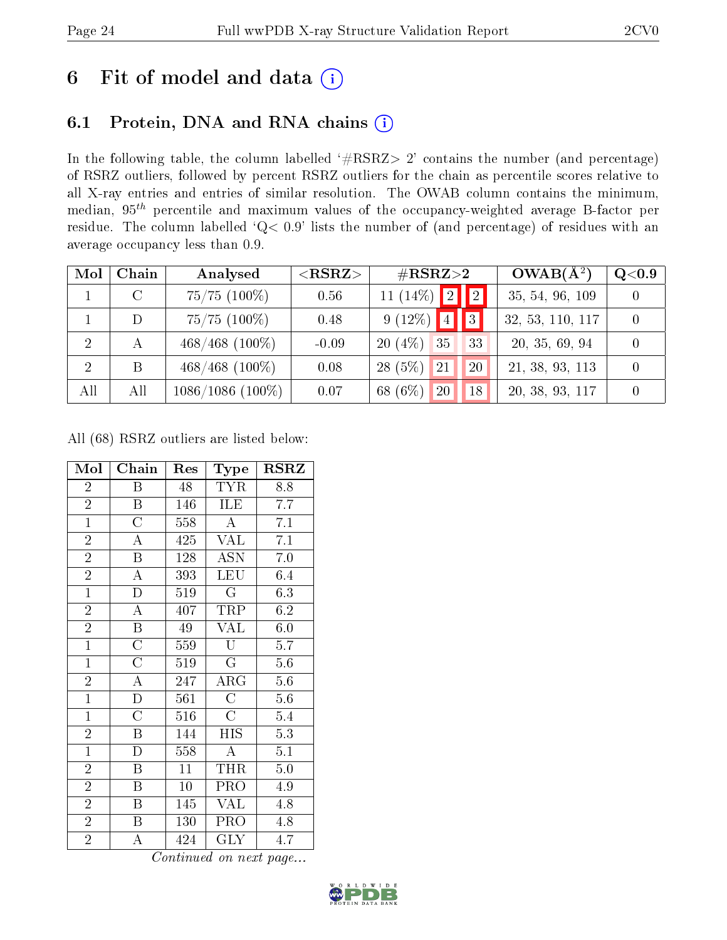## 6 Fit of model and data  $(i)$

## 6.1 Protein, DNA and RNA chains  $(i)$

In the following table, the column labelled  $#RSRZ> 2'$  contains the number (and percentage) of RSRZ outliers, followed by percent RSRZ outliers for the chain as percentile scores relative to all X-ray entries and entries of similar resolution. The OWAB column contains the minimum, median,  $95<sup>th</sup>$  percentile and maximum values of the occupancy-weighted average B-factor per residue. The column labelled ' $Q< 0.9$ ' lists the number of (and percentage) of residues with an average occupancy less than 0.9.

| Mol          | Chain | Analysed           | $<$ RSRZ $>$ | $\rm \#RSRZ{>}2$      | $OWAB(A^2)$      | Q <sub>0.9</sub> |
|--------------|-------|--------------------|--------------|-----------------------|------------------|------------------|
|              |       | $75/75$ $(100\%)$  | 0.56         | $11 (14\%)$ 2 2       | 35, 54, 96, 109  |                  |
|              | D     | $75/75$ $(100\%)$  | 0.48         | $9(12\%)$ 4 3         | 32, 53, 110, 117 |                  |
| <sup>2</sup> | A     | $468/468$ (100%)   | $-0.09$      | $20(4\%)$<br>35<br>33 | 20, 35, 69, 94   |                  |
| 2            | B     | $468/468$ (100%)   | 0.08         | $28(5\%)$<br>21<br>20 | 21, 38, 93, 113  |                  |
| All          | All   | $1086/1086(100\%)$ | 0.07         | 68 (6%)<br>20<br>18   | 20, 38, 93, 117  |                  |

All (68) RSRZ outliers are listed below:

| Mol            | Chain              | Res             | <b>Type</b>        | $_{\rm RSRZ}$    |
|----------------|--------------------|-----------------|--------------------|------------------|
| $\overline{2}$ | B                  | 48              | <b>TYR</b>         | 8.8              |
| $\overline{2}$ | B                  | 146             | ILE                | 7.7              |
| $\overline{1}$ | $\overline{\rm C}$ | 558             | $\overline{A}$     | $\overline{7.1}$ |
| $\overline{2}$ | $\overline{A}$     | 425             | <b>VAL</b>         | $7.1\,$          |
| $\overline{2}$ | B                  | 128             | <b>ASN</b>         | 7.0              |
| $\overline{2}$ | $\overline{\rm A}$ | 393             | LEU                | 6.4              |
| $\overline{1}$ | $\mathbf D$        | 519             | G                  | 6.3              |
| $\overline{2}$ | $\overline{\rm A}$ | 407             | TRP                | 6.2              |
| $\overline{2}$ | $\, {\bf B}$       | 49              | <b>VAL</b>         | 6.0              |
| $\mathbf{1}$   | $\overline{\rm C}$ | 559             | U                  | 5.7              |
| $\mathbf{1}$   | $\overline{\rm C}$ | 519             | $\mathbf G$        | 5.6              |
| $\overline{2}$ | $\overline{\rm A}$ | 247             | $\rm{ARG}$         | 5.6              |
| $\overline{1}$ | D                  | 561             | $\overline{\rm C}$ | 5.6              |
| $\mathbf{1}$   | $\overline{C}$     | 516             | $\mathcal{C}$      | 5.4              |
| $\overline{2}$ | B                  | 144             | HIS                | 5.3              |
| $\overline{1}$ | D                  | 558             | $\overline{\rm A}$ | 5.1              |
| $\overline{2}$ | $\boldsymbol{B}$   | $\overline{11}$ | THR                | $\overline{5.0}$ |
| $\overline{2}$ | B                  | 10              | PRO                | 4.9              |
| $\overline{2}$ | $\boldsymbol{B}$   | 145             | <b>VAL</b>         | 4.8              |
| $\overline{2}$ | B                  | 130             | PRO                | 4.8              |
| $\overline{2}$ | A                  | 424             | <b>GLY</b>         | 4.7              |

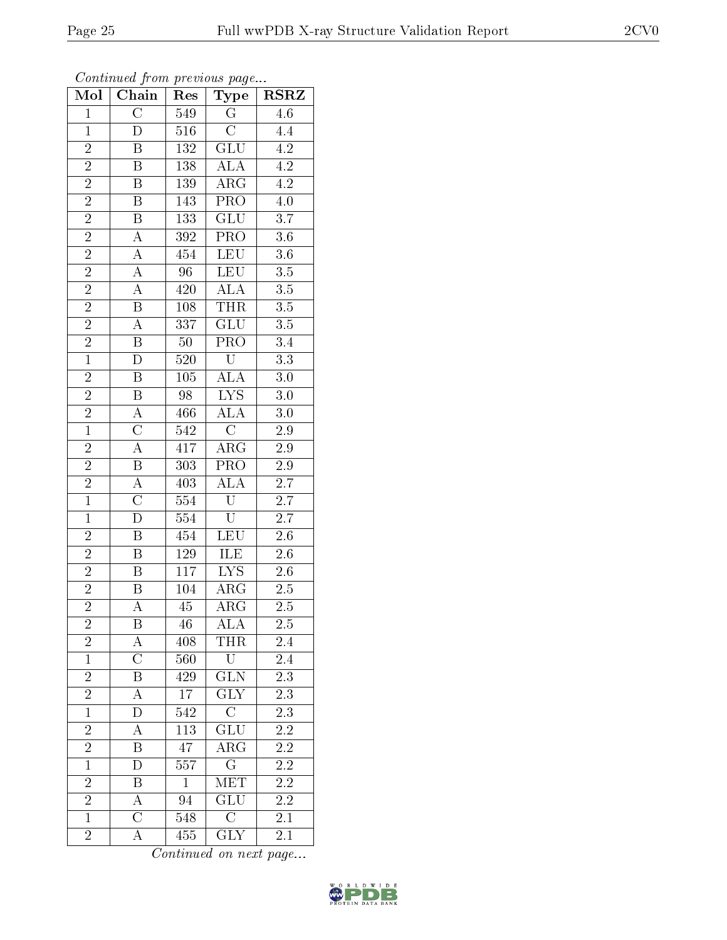| Mol                                                  | Chain                   | Res              | Type                    | $_{\rm RSRZ}$    |
|------------------------------------------------------|-------------------------|------------------|-------------------------|------------------|
| $\mathbf{1}$                                         | $\overline{\rm C}$      | 549              | $\overline{\mathrm{G}}$ | $\overline{4.6}$ |
| $\mathbf{1}$                                         | D                       | $516\,$          | $\mathcal{C}$           | 4.4              |
| $\overline{2}$                                       | $\overline{\mathrm{B}}$ | 132              | GLU                     | $\overline{4.2}$ |
| $\overline{2}$                                       | B                       | 138              | <b>ALA</b>              | 4.2              |
| $\overline{2}$                                       | $\overline{\mathrm{B}}$ | <b>139</b>       | $\overline{\rm{ARG}}$   | $\overline{4.2}$ |
| $\overline{2}$                                       | $\bar{\text{B}}$        | 143              | PRO                     | $\overline{4.0}$ |
| $\frac{2}{2}$                                        | $\overline{\mathrm{B}}$ | 133              | $\overline{\text{GLU}}$ | $\overline{3.7}$ |
|                                                      | $\overline{A}$          | 392              | $\overline{\text{PRO}}$ | $\overline{3.6}$ |
|                                                      | $\boldsymbol{A}$        | 454              | $\overline{\text{LEU}}$ | $\overline{3.6}$ |
|                                                      | $\overline{A}$          | $\overline{96}$  | <b>LEU</b>              | $\overline{3.5}$ |
| $\frac{\overline{2}}{2}$<br>$\frac{\overline{2}}{2}$ | $\overline{\rm A}$      | 420              | $\overline{ALA}$        | $\overline{3.5}$ |
|                                                      | $\overline{\mathrm{B}}$ | 108              | THR                     | $\overline{3.5}$ |
| $\overline{2}$                                       | $\overline{\rm A}$      | 337              | $\overline{\text{GLU}}$ | 3.5              |
| $\frac{2}{1}$                                        | $\overline{\mathrm{B}}$ | $50\,$           | $\overline{\text{PRO}}$ | $\overline{3.4}$ |
|                                                      | $\overline{\rm D}$      | 520              | $\overline{\mathrm{U}}$ | $\overline{3.3}$ |
| $\overline{2}$                                       | $\overline{\mathbf{B}}$ | 105              | ALA                     | $3.0\,$          |
| $\overline{2}$                                       | $\overline{\mathrm{B}}$ | $\overline{98}$  | $\overline{\text{LYS}}$ | $3.0\,$          |
| $\frac{2}{1}$                                        | $\overline{A}$          | 466              | $\overline{ALA}$        | $\overline{3.0}$ |
|                                                      | $\overline{\rm C}$      | $\overline{542}$ | $\overline{C}$          | 2.9              |
| $\overline{2}$                                       | $\overline{A}$          | $4\overline{17}$ | $\overline{\rm ARG}$    | $\overline{2.9}$ |
|                                                      | $\overline{\mathbf{B}}$ | 303              | PRO                     | $2.9\,$          |
| $\frac{2}{2}$<br>$\frac{2}{1}$                       | $\overline{A}$          | 403              | <b>ALA</b>              | $\overline{2.7}$ |
|                                                      | $\overline{\rm C}$      | 554              | $\overline{\mathrm{U}}$ | 2.7              |
| $\overline{1}$                                       | $\overline{\rm D}$      | $\overline{554}$ | $\overline{\mathrm{U}}$ | $\overline{2.7}$ |
| $\overline{2}$                                       | $\overline{\mathrm{B}}$ | 454              | LEU                     | $\overline{2.6}$ |
|                                                      | $\overline{\mathrm{B}}$ | 129              | <b>ILE</b>              | $\overline{2.6}$ |
| $\frac{\overline{2}}{2}$ $\frac{\overline{2}}{2}$    | B                       | 117              | $\overline{\text{LYS}}$ | $2.\overline{6}$ |
|                                                      | $\boldsymbol{B}$        | 104              | $\rm{ARG}$              | $2.5\,$          |
|                                                      | $\overline{\rm A}$      | $\overline{45}$  | $\overline{\rm{ARG}}$   | $2.\overline{5}$ |
| $\overline{\mathbf{c}}$                              | Β                       | 46               | ALA                     | 2.5              |
| $\frac{2}{1}$                                        | A                       | 408              | THR                     | 2.4              |
|                                                      | $\overline{\rm C}$      | 560              | $\overline{\text{U}}$   | 2.4              |
| $\frac{2}{2}$                                        | B                       | 429              | $\overline{\text{GLN}}$ | $2.\overline{3}$ |
|                                                      | $\overline{\rm A}$      | $\overline{17}$  | $\overline{\text{GLY}}$ | $\overline{2.3}$ |
| $\mathbf{1}$                                         | $\mathbf D$             | 542              | $\overline{\text{C}}$   | $2.\overline{3}$ |
| $\overline{2}$                                       | $\overline{\rm A}$      | 113              | GLU                     | 2.2              |
| $\overline{2}$                                       | $\overline{\mathbf{B}}$ | 47               | $\overline{\rm ARG}$    | $2.\overline{2}$ |
| $\overline{1}$                                       | D                       | 557              | $\overline{\mathrm{G}}$ | 2.2              |
| $\overline{2}$                                       | $\overline{\mathrm{B}}$ | $\mathbf{1}$     | MET                     | $\overline{2.2}$ |
| $\overline{2}$                                       | $\boldsymbol{A}$        | 94               | GLU                     | <b>2.2</b>       |
| $\overline{1}$                                       | $\overline{\rm C}$      | 548              | $\overline{\rm C}$      | $\overline{2.1}$ |
| $\overline{2}$                                       | $\overline{\rm A}$      | 455              | <b>GLY</b>              | 2.1              |